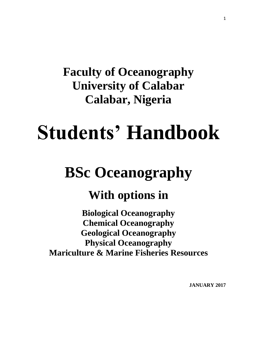# **Faculty of Oceanography University of Calabar Calabar, Nigeria**

# **Students' Handbook**

# **BSc Oceanography**

# **With options in**

**Biological Oceanography Chemical Oceanography Geological Oceanography Physical Oceanography Mariculture & Marine Fisheries Resources**

**JANUARY 2017**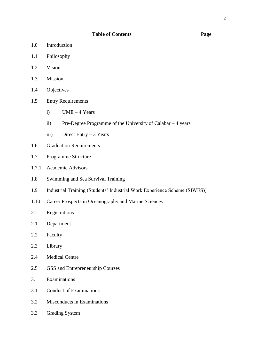### **Table of Contents Page**

- 1.0 Introduction
- 1.1 Philosophy
- 1.2 Vision
- 1.3 Mission
- 1.4 Objectives
- 1.5 Entry Requirements
	- i)  $UME 4 Years$
	- ii) Pre-Degree Programme of the University of Calabar 4 years
	- iii) Direct Entry  $-3$  Years
- 1.6 Graduation Requirements
- 1.7 Programme Structure
- 1.7.1 Academic Advisors
- 1.8 Swimming and Sea Survival Training
- 1.9 Industrial Training (Students' Industrial Work Experience Scheme (SIWES))
- 1.10 Career Prospects in Oceanography and Marine Sciences
- 2. Registrations
- 2.1 Department
- 2.2 Faculty
- 2.3 Library
- 2.4 Medical Centre
- 2.5 GSS and Entrepreneurship Courses
- 3. Examinations
- 3.1 Conduct of Examinations
- 3.2 Misconducts in Examinations
- 3.3 Grading System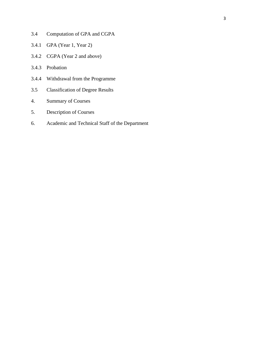- 3.4 Computation of GPA and CGPA
- 3.4.1 GPA (Year 1, Year 2)
- 3.4.2 CGPA (Year 2 and above)
- 3.4.3 Probation
- 3.4.4 Withdrawal from the Programme
- 3.5 Classification of Degree Results
- 4. Summary of Courses
- 5. Description of Courses
- 6. Academic and Technical Staff of the Department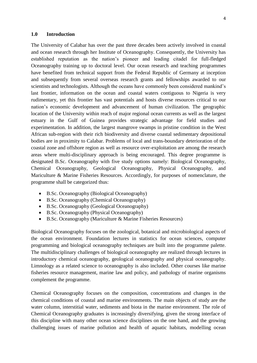### **1.0 Introduction**

The University of Calabar has over the past three decades been actively involved in coastal and ocean research through her Institute of Oceanography. Consequently, the University has established reputation as the nation's pioneer and leading citadel for full-fledged Oceanography training up to doctoral level. Our ocean research and teaching programmes have benefited from technical support from the Federal Republic of Germany at inception and subsequently from several overseas research grants and fellowships awarded to our scientists and technologists. Although the oceans have commonly been considered mankind's last frontier, information on the ocean and coastal waters contiguous to Nigeria is very rudimentary, yet this frontier has vast potentials and hosts diverse resources critical to our nation's economic development and advancement of human civilization. The geographic location of the University within reach of major regional ocean currents as well as the largest estuary in the Gulf of Guinea provides strategic advantage for field studies and experimentation. In addition, the largest mangrove swamps in pristine condition in the West African sub-region with their rich biodiversity and diverse coastal sedimentary depositional bodies are in proximity to Calabar. Problems of local and trans-boundary deterioration of the coastal zone and offshore region as well as resource over-exploitation are among the research areas where multi-disciplinary approach is being encouraged. This degree programme is designated B.Sc. Oceanography with five study options namely: Biological Oceanography, Chemical Oceanography, Geological Oceanography, Physical Oceanography, and Mariculture & Marine Fisheries Resources. Accordingly, for purposes of nomenclature, the programme shall be categorized thus:

- B.Sc. Oceanography (Biological Oceanography)
- B.Sc. Oceanography (Chemical Oceanography)
- B.Sc. Oceanography (Geological Oceanography)
- B.Sc. Oceanography (Physical Oceanography)
- B.Sc. Oceanography (Mariculture & Marine Fisheries Resources)

Biological Oceanography focuses on the zoological, botanical and microbiological aspects of the ocean environment. Foundation lectures in statistics for ocean sciences, computer programming and biological oceanography techniques are built into the programme palette. The multidisciplinary challenges of biological oceanography are realized through lectures in introductory chemical oceanography, geological oceanography and physical oceanography. Limnology as a related science to oceanography is also included. Other courses like marine fisheries resource management, marine law and policy, and pathology of marine organisms complement the programme.

Chemical Oceanography focuses on the composition, concentrations and changes in the chemical conditions of coastal and marine environments. The main objects of study are the water column, interstitial water, sediments and biota in the marine environment. The role of Chemical Oceanography graduates is increasingly diversifying, given the strong interface of this discipline with many other ocean science disciplines on the one hand, and the growing challenging issues of marine pollution and health of aquatic habitats, modelling ocean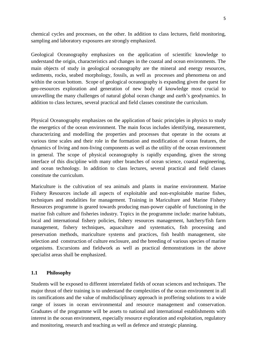chemical cycles and processes, on the other. In addition to class lectures, field monitoring, sampling and laboratory exposures are strongly emphasized.

Geological Oceanography emphasizes on the application of scientific knowledge to understand the origin, characteristics and changes in the coastal and ocean environments. The main objects of study in geological oceanography are the mineral and energy resources, sediments, rocks, seabed morphology, fossils, as well as processes and phenomena on and within the ocean bottom. Scope of geological oceanography is expanding given the quest for geo-resources exploration and generation of new body of knowledge most crucial to unravelling the many challenges of natural global ocean change and earth's geodynamics. In addition to class lectures, several practical and field classes constitute the curriculum.

Physical Oceanography emphasizes on the application of basic principles in physics to study the energetics of the ocean environment. The main focus includes identifying, measurement, characterizing and modelling the properties and processes that operate in the oceans at various time scales and their role in the formation and modification of ocean features, the dynamics of living and non-living components as well as the utility of the ocean environment in general. The scope of physical oceanography is rapidly expanding, given the strong interface of this discipline with many other branches of ocean science, coastal engineering, and ocean technology. In addition to class lectures, several practical and field classes constitute the curriculum.

Mariculture is the cultivation of sea animals and plants in marine environment. Marine Fishery Resources include all aspects of exploitable and non-exploitable marine fishes, techniques and modalities for management. Training in Mariculture and Marine Fishery Resources programme is geared towards producing man-power capable of functioning in the marine fish culture and fisheries industry. Topics in the programme include: marine habitats, local and international fishery policies, fishery resources management, hatchery/fish farm management, fishery techniques, aquaculture and systematics, fish processing and preservation methods, mariculture systems and practices, fish health management, site selection and construction of culture enclosure, and the breeding of various species of marine organisms. Excursions and fieldwork as well as practical demonstrations in the above specialist areas shall be emphasized.

### **1.1 Philosophy**

Students will be exposed to different interrelated fields of ocean sciences and techniques. The major thrust of their training is to understand the complexities of the ocean environment in all its ramifications and the value of multidisciplinary approach in proffering solutions to a wide range of issues in ocean environmental and resource management and conservation. Graduates of the programme will be assets to national and international establishments with interest in the ocean environment, especially resource exploration and exploitation, regulatory and monitoring, research and teaching as well as defence and strategic planning.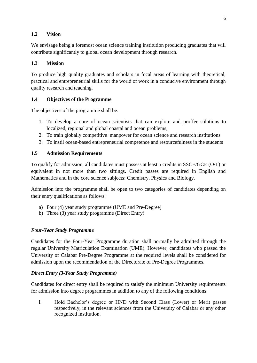# **1.2 Vision**

We envisage being a foremost ocean science training institution producing graduates that will contribute significantly to global ocean development through research.

# **1.3 Mission**

To produce high quality graduates and scholars in focal areas of learning with theoretical, practical and entrepreneurial skills for the world of work in a conducive environment through quality research and teaching.

# **1.4 Objectives of the Programme**

The objectives of the programme shall be:

- 1. To develop a core of ocean scientists that can explore and proffer solutions to localized, regional and global coastal and ocean problems;
- 2. To train globally competitive manpower for ocean science and research institutions
- 3. To instil ocean-based entrepreneurial competence and resourcefulness in the students

# **1.5 Admission Requirements**

To qualify for admission, all candidates must possess at least 5 credits in SSCE/GCE (O/L) or equivalent in not more than two sittings. Credit passes are required in English and Mathematics and in the core science subjects: Chemistry, Physics and Biology.

Admission into the programme shall be open to two categories of candidates depending on their entry qualifications as follows:

- a) Four (4) year study programme (UME and Pre-Degree)
- b) Three (3) year study programme (Direct Entry)

# *Four-Year Study Programme*

Candidates for the Four-Year Programme duration shall normally be admitted through the regular University Matriculation Examination (UME). However, candidates who passed the University of Calabar Pre-Degree Programme at the required levels shall be considered for admission upon the recommendation of the Directorate of Pre-Degree Programmes.

# *Direct Entry (3-Year Study Programme)*

Candidates for direct entry shall be required to satisfy the minimum University requirements for admission into degree programmes in addition to any of the following conditions:

i. Hold Bachelor's degree or HND with Second Class (Lower) or Merit passes respectively, in the relevant sciences from the University of Calabar or any other recognized institution.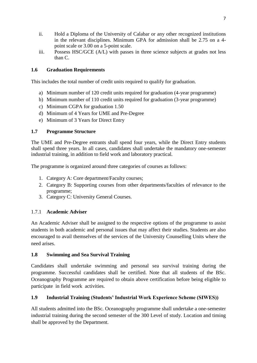- ii. Hold a Diploma of the University of Calabar or any other recognized institutions in the relevant disciplines. Minimum GPA for admission shall be 2.75 on a 4 point scale or 3.00 on a 5-point scale.
- iii. Possess HSC/GCE (A/L) with passes in three science subjects at grades not less than C.

# **1.6 Graduation Requirements**

This includes the total number of credit units required to qualify for graduation.

- a) Minimum number of 120 credit units required for graduation (4-year programme)
- b) Minimum number of 110 credit units required for graduation (3-year programme)
- c) Minimum CGPA for graduation 1.50
- d) Minimum of 4 Years for UME and Pre-Degree
- e) Minimum of 3 Years for Direct Entry

# **1.7 Programme Structure**

The UME and Pre-Degree entrants shall spend four years, while the Direct Entry students shall spend three years. In all cases, candidates shall undertake the mandatory one-semester industrial training, in addition to field work and laboratory practical.

The programme is organized around three categories of courses as follows:

- 1. Category A: Core department/Faculty courses;
- 2. Category B: Supporting courses from other departments/faculties of relevance to the programme;
- 3. Category C: University General Courses.

# 1.7.1 **Academic Adviser**

An Academic Adviser shall be assigned to the respective options of the programme to assist students in both academic and personal issues that may affect their studies. Students are also encouraged to avail themselves of the services of the University Counselling Units where the need arises.

# **1.8 Swimming and Sea Survival Training**

Candidates shall undertake swimming and personal sea survival training during the programme. Successful candidates shall be certified. Note that all students of the BSc. Oceanography Programme are required to obtain above certification before being eligible to participate in field work activities.

# **1.9 Industrial Training (Students' Industrial Work Experience Scheme (SIWES))**

All students admitted into the BSc. Oceanography programme shall undertake a one-semester industrial training during the second semester of the 300 Level of study. Location and timing shall be approved by the Department.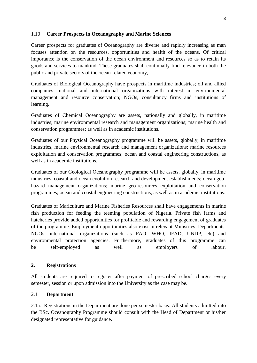### 1.10 **Career Prospects in Oceanography and Marine Sciences**

Career prospects for graduates of Oceanography are diverse and rapidly increasing as man focuses attention on the resources, opportunities and health of the oceans. Of critical importance is the conservation of the ocean environment and resources so as to retain its goods and services to mankind. These graduates shall continually find relevance in both the public and private sectors of the ocean-related economy,

Graduates of Biological Oceanography have prospects in maritime industries; oil and allied companies; national and international organizations with interest in environmental management and resource conservation; NGOs, consultancy firms and institutions of learning.

Graduates of Chemical Oceanography are assets, nationally and globally, in maritime industries; marine environmental research and management organizations; marine health and conservation programmes; as well as in academic institutions.

Graduates of our Physical Oceanography programme will be assets, globally, in maritime industries, marine environmental research and management organizations; marine resources exploitation and conservation programmes; ocean and coastal engineering constructions, as well as in academic institutions.

Graduates of our Geological Oceanography programme will be assets, globally, in maritime industries, coastal and ocean evolution research and development establishments; ocean geohazard management organizations; marine geo-resources exploitation and conservation programmes; ocean and coastal engineering constructions, as well as in academic institutions.

Graduates of Mariculture and Marine Fisheries Resources shall have engagements in marine fish production for feeding the teeming population of Nigeria. Private fish farms and hatcheries provide added opportunities for profitable and rewarding engagement of graduates of the programme. Employment opportunities also exist in relevant Ministries, Departments, NGOs, international organizations (such as FAO, WHO, IFAD, UNDP, etc) and environmental protection agencies. Furthermore, graduates of this programme can be self-employed as well as employers of labour.

# **2. Registrations**

All students are required to register after payment of prescribed school charges every semester, session or upon admission into the University as the case may be.

# 2.1 **Department**

2.1a. Registrations in the Department are done per semester basis. All students admitted into the BSc. Oceanography Programme should consult with the Head of Department or his/her designated representative for guidance.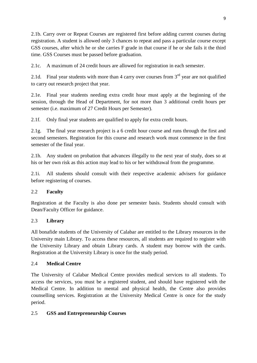2.1b. Carry over or Repeat Courses are registered first before adding current courses during registration. A student is allowed only 3 chances to repeat and pass a particular course except GSS courses, after which he or she carries F grade in that course if he or she fails it the third time. GSS Courses must be passed before graduation.

2.1c. A maximum of 24 credit hours are allowed for registration in each semester.

2.1d. Final year students with more than 4 carry over courses from  $3<sup>rd</sup>$  year are not qualified to carry out research project that year.

2.1e. Final year students needing extra credit hour must apply at the beginning of the session, through the Head of Department, for not more than 3 additional credit hours per semester (i.e. maximum of 27 Credit Hours per Semester).

2.1f. Only final year students are qualified to apply for extra credit hours.

2.1g. The final year research project is a 6 credit hour course and runs through the first and second semesters. Registration for this course and research work must commence in the first semester of the final year.

2.1h. Any student on probation that advances illegally to the next year of study, does so at his or her own risk as this action may lead to his or her withdrawal from the programme.

2.1i. All students should consult with their respective academic advisers for guidance before registering of courses.

# 2.2 **Faculty**

Registration at the Faculty is also done per semester basis. Students should consult with Dean/Faculty Officer for guidance.

# 2.3 **Library**

All bonafide students of the University of Calabar are entitled to the Library resources in the University main Library. To access these resources, all students are required to register with the University Library and obtain Library cards. A student may borrow with the cards. Registration at the University Library is once for the study period.

# 2.4 **Medical Centre**

The University of Calabar Medical Centre provides medical services to all students. To access the services, you must be a registered student, and should have registered with the Medical Centre. In addition to mental and physical health, the Centre also provides counselling services. Registration at the University Medical Centre is once for the study period.

# 2.5 **GSS and Entrepreneurship Courses**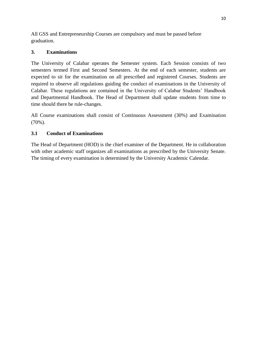All GSS and Entrepreneurship Courses are compulsory and must be passed before graduation.

# **3. Examinations**

The University of Calabar operates the Semester system. Each Session consists of two semesters termed First and Second Semesters. At the end of each semester, students are expected to sit for the examination on all prescribed and registered Courses. Students are required to observe all regulations guiding the conduct of examinations in the University of Calabar. These regulations are contained in the University of Calabar Students' Handbook and Departmental Handbook. The Head of Department shall update students from time to time should there be rule-changes.

All Course examinations shall consist of Continuous Assessment (30%) and Examination (70%).

# **3.1 Conduct of Examinations**

The Head of Department (HOD) is the chief examiner of the Department. He in collaboration with other academic staff organizes all examinations as prescribed by the University Senate. The timing of every examination is determined by the University Academic Calendar.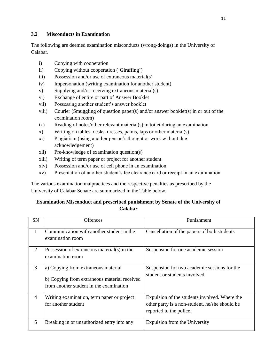# **3.2 Misconducts in Examination**

The following are deemed examination misconducts (wrong-doings) in the University of Calabar.

- i) Copying with cooperation
- ii) Copying without cooperation ('Giraffing')
- iii) Possession and/or use of extraneous material(s)
- iv) Impersonation (writing examination for another student)
- v) Supplying and/or receiving extraneous material(s)
- vi) Exchange of entire or part of Answer Booklet
- vii) Possessing another student's answer booklet
- viii) Courier (Smuggling of question paper(s) and/or answer booklet(s) in or out of the examination room)
- ix) Reading of notes/other relevant material(s) in toilet during an examination
- x) Writing on tables, desks, dresses, palms, laps or other material(s)
- xi) Plagiarism (using another person's thought or work without due acknowledgement)
- xii) Pre-knowledge of examination question(s)
- xiii) Writing of term paper or project for another student
- xiv) Possession and/or use of cell phone in an examination
- xv) Presentation of another student's fee clearance card or receipt in an examination

The various examination malpractices and the respective penalties as prescribed by the University of Calabar Senate are summarized in the Table below.

# **Examination Misconduct and prescribed punishment by Senate of the University of Calabar**

| SN             | <b>Offences</b>                                                                                                                | Punishment                                                                                                                 |
|----------------|--------------------------------------------------------------------------------------------------------------------------------|----------------------------------------------------------------------------------------------------------------------------|
| $\mathbf{1}$   | Communication with another student in the<br>examination room                                                                  | Cancellation of the papers of both students                                                                                |
| 2              | Possession of extraneous material(s) in the<br>examination room                                                                | Suspension for one academic session                                                                                        |
| 3              | a) Copying from extraneous material<br>b) Copying from extraneous material received<br>from another student in the examination | Suspension for two academic sessions for the<br>student or students involved                                               |
| $\overline{4}$ | Writing examination, term paper or project<br>for another student                                                              | Expulsion of the students involved. Where the<br>other party is a non-student, he/she should be<br>reported to the police. |
| 5              | Breaking in or unauthorized entry into any                                                                                     | Expulsion from the University                                                                                              |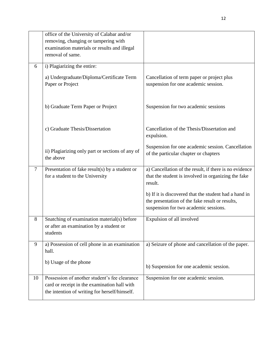|        | office of the University of Calabar and/or<br>removing, changing or tampering with                                                             |                                                                                                                                                   |
|--------|------------------------------------------------------------------------------------------------------------------------------------------------|---------------------------------------------------------------------------------------------------------------------------------------------------|
|        | examination materials or results and illegal                                                                                                   |                                                                                                                                                   |
|        | removal of same.                                                                                                                               |                                                                                                                                                   |
| 6      | i) Plagiarizing the entire:                                                                                                                    |                                                                                                                                                   |
|        | a) Undergraduate/Diploma/Certificate Term<br>Paper or Project                                                                                  | Cancellation of term paper or project plus<br>suspension for one academic session.                                                                |
|        | b) Graduate Term Paper or Project                                                                                                              | Suspension for two academic sessions                                                                                                              |
|        | c) Graduate Thesis/Dissertation                                                                                                                | Cancellation of the Thesis/Dissertation and<br>expulsion.                                                                                         |
|        | ii) Plagiarizing only part or sections of any of<br>the above                                                                                  | Suspension for one academic session. Cancellation<br>of the particular chapter or chapters                                                        |
| $\tau$ | Presentation of fake result(s) by a student or<br>for a student to the University                                                              | a) Cancellation of the result, if there is no evidence<br>that the student is involved in organizing the fake<br>result.                          |
|        |                                                                                                                                                | b) If it is discovered that the student had a hand in<br>the presentation of the fake result or results,<br>suspension for two academic sessions. |
| 8      | Snatching of examination material(s) before<br>or after an examination by a student or<br>students                                             | Expulsion of all involved                                                                                                                         |
| 9      | a) Possession of cell phone in an examination<br>hall.                                                                                         | a) Seizure of phone and cancellation of the paper.                                                                                                |
|        | b) Usage of the phone                                                                                                                          | b) Suspension for one academic session.                                                                                                           |
| 10     | Possession of another student's fee clearance<br>card or receipt in the examination hall with<br>the intention of writing for herself/himself. | Suspension for one academic session.                                                                                                              |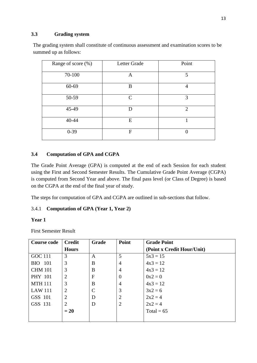# **3.3 Grading system**

The grading system shall constitute of continuous assessment and examination scores to be summed up as follows:

| Range of score (%) | Letter Grade   | Point          |
|--------------------|----------------|----------------|
| 70-100             | A              | 5              |
| 60-69              | B              | 4              |
| 50-59              | $\mathcal{C}$  | 3              |
| 45-49              | D              | $\overline{2}$ |
| 40-44              | E              |                |
| $0 - 39$           | $\overline{F}$ |                |

# **3.4 Computation of GPA and CGPA**

The Grade Point Average (GPA) is computed at the end of each Session for each student using the First and Second Semester Results. The Cumulative Grade Point Average (CGPA) is computed from Second Year and above. The final pass level (or Class of Degree) is based on the CGPA at the end of the final year of study.

The steps for computation of GPA and CGPA are outlined in sub-sections that follow.

# 3.4.1 **Computation of GPA (Year 1, Year 2)**

# **Year 1**

First Semester Result

| <b>Course code</b> | <b>Credit</b>  | Grade         | Point          | <b>Grade Point</b>         |
|--------------------|----------------|---------------|----------------|----------------------------|
|                    | <b>Hours</b>   |               |                | (Point x Credit Hour/Unit) |
| GOC 111            | 3              | A             | 5              | $5x3 = 15$                 |
| <b>BIO</b> 101     | 3              | B             | 4              | $4x3 = 12$                 |
| <b>CHM 101</b>     | 3              | B             | $\overline{4}$ | $4x3 = 12$                 |
| <b>PHY 101</b>     | 2              | $F_{\rm}$     | $\theta$       | $0x2=0$                    |
| <b>MTH 111</b>     | 3              | B             | 4              | $4x3 = 12$                 |
| <b>LAW 111</b>     | $\overline{2}$ | $\mathcal{C}$ | 3              | $3x^2 = 6$                 |
| GSS 101            | $\overline{2}$ | D             | $\overline{2}$ | $2x^2 = 4$                 |
| GSS 131            | 2              | D             | $\overline{2}$ | $2x^2 = 4$                 |
|                    | $= 20$         |               |                | Total = $65$               |
|                    |                |               |                |                            |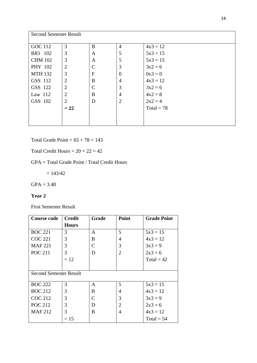| <b>Second Semester Result</b> |                |   |                |              |
|-------------------------------|----------------|---|----------------|--------------|
| <b>GOC 112</b>                | 3              | B | $\overline{4}$ | $4x3 = 12$   |
| <b>BIO</b> 102                | 3              | A | 5              | $5x3 = 15$   |
| <b>CHM 102</b>                | 3              | A | 5              | $5x3 = 15$   |
| PHY 102                       | $\overline{2}$ | C | 3              | $3x^2 = 6$   |
| <b>MTH 132</b>                | 3              | F | 0              | $0x3 = 0$    |
| GSS 112                       | $\overline{2}$ | B | 4              | $4x3 = 12$   |
| GSS 122                       | $\overline{2}$ | C | 3              | $3x^2 = 6$   |
| Law 112                       | $\overline{2}$ | B | 4              | $4x2 = 8$    |
| GSS 102                       | $\overline{2}$ | D | $\overline{2}$ | $2x2 = 4$    |
|                               | $= 22$         |   |                | Total = $78$ |
|                               |                |   |                |              |
|                               |                |   |                |              |

Total Grade Point =  $65 + 78 = 143$ 

Total Credit Hours =  $20 + 22 = 42$ 

# GPA = Total Grade Point / Total Credit Hours

 $= 143/42$ 

 $GPA = 3.40$ 

# **Year 2**

First Semester Result

| <b>Course code</b>            | <b>Credit</b> | Grade                       | Point          | <b>Grade Point</b> |
|-------------------------------|---------------|-----------------------------|----------------|--------------------|
|                               | <b>Hours</b>  |                             |                |                    |
| <b>BOC 221</b>                | 3             | A                           | 5              | $5x3 = 15$         |
| <b>COC 221</b>                | 3             | B                           | 4              | $4x3 = 12$         |
| <b>MAF 221</b>                | 3             | $\mathcal{C}_{\mathcal{C}}$ | 3              | $3x3 = 9$          |
| <b>POC 211</b>                | 3             | D                           | $\overline{2}$ | $2x3 = 6$          |
|                               | $=12$         |                             |                | Total = $42$       |
|                               |               |                             |                |                    |
| <b>Second Semester Result</b> |               |                             |                |                    |
| <b>BOC 222</b>                | 3             | A                           | 5              | $5x3 = 15$         |
| <b>BOC 212</b>                | 3             | B                           | 4              | $4x3 = 12$         |
| <b>COC 212</b>                | 3             | $\mathsf{C}$                | 3              | $3x3 = 9$          |
| <b>POC 212</b>                | 3             | D                           | $\overline{2}$ | $2x3 = 6$          |
| <b>MAF212</b>                 | 3             | B                           | $\overline{4}$ | $4x3 = 12$         |
|                               | $= 15$        |                             |                | $Total = 54$       |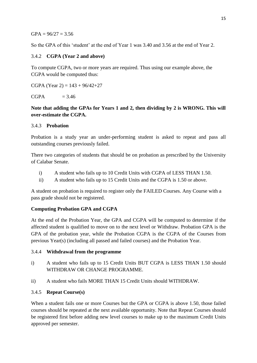### $GPA = 96/27 = 3.56$

So the GPA of this 'student' at the end of Year 1 was 3.40 and 3.56 at the end of Year 2.

# 3.4.2 **CGPA (Year 2 and above)**

To compute CGPA, two or more years are required. Thus using our example above, the CGPA would be computed thus:

CGPA (Year 2) =  $143 + 96/42 + 27$ 

 $CGPA$  = 3.46

# **Note that adding the GPAs for Years 1 and 2, then dividing by 2 is WRONG. This will over-estimate the CGPA.**

### 3.4.3 **Probation**

Probation is a study year an under-performing student is asked to repeat and pass all outstanding courses previously failed.

There two categories of students that should be on probation as prescribed by the University of Calabar Senate.

- i) A student who fails up to 10 Credit Units with CGPA of LESS THAN 1.50.
- ii) A student who fails up to 15 Credit Units and the CGPA is 1.50 or above.

A student on probation is required to register only the FAILED Courses. Any Course with a pass grade should not be registered.

# **Computing Probation GPA and CGPA**

At the end of the Probation Year, the GPA and CGPA will be computed to determine if the affected student is qualified to move on to the next level or Withdraw. Probation GPA is the GPA of the probation year, while the Probation CGPA is the CGPA of the Courses from previous Year(s) (including all passed and failed courses) and the Probation Year.

### 3.4.4 **Withdrawal from the programme**

- i) A student who fails up to 15 Credit Units BUT CGPA is LESS THAN 1.50 should WITHDRAW OR CHANGE PROGRAMME.
- ii) A student who fails MORE THAN 15 Credit Units should WITHDRAW.

# 3.4.5 **Repeat Course(s)**

When a student fails one or more Courses but the GPA or CGPA is above 1.50, those failed courses should be repeated at the next available opportunity. Note that Repeat Courses should be registered first before adding new level courses to make up to the maximum Credit Units approved per semester.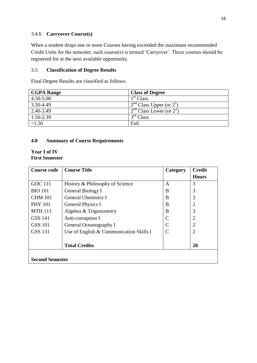# 3.4.6 **Carryover Course(s)**

When a student drops one or more Courses having exceeded the maximum recommended Credit Units for the semester, such course(s) is termed 'Carryover'. These courses should be registered for at the next available opportunity.

# 3.5 **Classification of Degree Results**

Final Degree Results are classified as follows.

| <b>CGPA Range</b> | <b>Class of Degree</b>    |
|-------------------|---------------------------|
| $4.50 - 5.00$     | 1 <sup>st</sup> Class     |
| 3.50-4.49         | $2nd Class Upper (or 21)$ |
| 2.40-3.49         | $2nd Class Lower (or 22)$ |
| 1.50-2.39         | 3 <sup>rd</sup> Class     |
| < 1.50            | Fail                      |

# **4.0 Summary of Course Requirements**

# **Year I of IV First Semester**

| <b>Course code</b>     | <b>Course Title</b>                     | Category     | <b>Credit</b>         |
|------------------------|-----------------------------------------|--------------|-----------------------|
|                        |                                         |              | <b>Hours</b>          |
| <b>GOC 111</b>         | History & Philosophy of Science         | A            | 3                     |
| <b>BIO 101</b>         | General Biology I                       | B            | 3                     |
| <b>CHM 101</b>         | General Chemistry I                     | B            | 3                     |
| <b>PHY 101</b>         | <b>General Physics I</b>                | B            | $\overline{2}$        |
| <b>MTH 111</b>         | Algebra & Trigonometry                  | B            | 3                     |
| GSS 141                | Anti-corruption I                       | C            | $\overline{2}$        |
| GSS 101                | General Oceanography I                  | $\mathsf{C}$ | $\mathcal{D}_{\cdot}$ |
| <b>GSS 131</b>         | Use of English & Communication Skills I |              | 2                     |
|                        |                                         |              |                       |
|                        | <b>Total Credits</b>                    |              | 20                    |
|                        |                                         |              |                       |
| <b>Second Semester</b> |                                         |              |                       |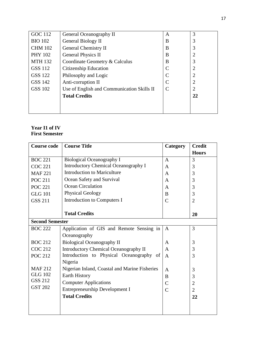| <b>GOC 112</b> | General Oceanography II                    | A | 3              |
|----------------|--------------------------------------------|---|----------------|
| <b>BIO 102</b> | General Biology II                         | B | 3              |
| <b>CHM 102</b> | General Chemistry II                       | B | 3              |
| <b>PHY 102</b> | <b>General Physics II</b>                  | B | 2              |
| <b>MTH 132</b> | Coordinate Geometry & Calculus             | B | 3              |
| <b>GSS 112</b> | Citizenship Education                      |   | $\overline{2}$ |
| GSS 122        | Philosophy and Logic                       |   | 2              |
| GSS 142        | Anti-corruption II                         | C | 2              |
| <b>GSS 102</b> | Use of English and Communication Skills II |   | 2              |
|                | <b>Total Credits</b>                       |   | 22             |
|                |                                            |   |                |
|                |                                            |   |                |

# **Year I1 of IV First Semester**

| <b>Course code</b>     | <b>Course Title</b>                           | Category       | <b>Credit</b>  |
|------------------------|-----------------------------------------------|----------------|----------------|
|                        |                                               |                | <b>Hours</b>   |
| <b>BOC 221</b>         | <b>Biological Oceanography I</b>              | A              | 3              |
| <b>COC 221</b>         | <b>Introductory Chemical Oceanography I</b>   | A              | 3              |
| <b>MAF 221</b>         | <b>Introduction to Mariculture</b>            | A              | 3              |
| <b>POC 211</b>         | Ocean Safety and Survival                     | A              | 3              |
| <b>POC 221</b>         | Ocean Circulation                             | A              | 3              |
| <b>GLG 101</b>         | <b>Physical Geology</b>                       | B              | 3              |
| <b>GSS 211</b>         | Introduction to Computers I                   | C              | $\overline{2}$ |
|                        |                                               |                |                |
|                        | <b>Total Credits</b>                          |                | 20             |
| <b>Second Semester</b> |                                               |                |                |
| <b>BOC 222</b>         | Application of GIS and Remote Sensing in      | $\mathbf{A}$   | 3              |
|                        | Oceanography                                  |                |                |
| <b>BOC 212</b>         | <b>Biological Oceanography II</b>             | A              | 3              |
| <b>COC 212</b>         | <b>Introductory Chemical Oceanography II</b>  | $\mathbf{A}$   | 3              |
| <b>POC 212</b>         | Introduction to Physical Oceanography of      | A              | 3              |
|                        | Nigeria                                       |                |                |
| <b>MAF212</b>          | Nigerian Inland, Coastal and Marine Fisheries | A              | 3              |
| <b>GLG 102</b>         | <b>Earth History</b>                          | B              | 3              |
| <b>GSS 212</b>         | <b>Computer Applications</b>                  | $\mathcal{C}$  | $\overline{2}$ |
| <b>GST 202</b>         | Entrepreneurship Development I                | $\overline{C}$ | $\overline{2}$ |
|                        | <b>Total Credits</b>                          |                | 22             |
|                        |                                               |                |                |
|                        |                                               |                |                |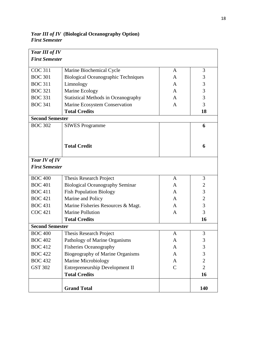*Year III of IV First Semester* COC 311 BOC 301 BOC 311 BOC 321 BOC 331 BOC 341 Marine Biochemical Cycle Biological Oceanographic Techniques Limnology Marine Ecology Statistical Methods in Oceanography Marine Ecosystem Conservation **Total Credits** A A A A A A 3 3 3 3 3 3 **18 Second Semester** BOC 302 SIWES Programme **Total Credit 6 6** *Year IV of IV First Semester* BOC 400 BOC 401 BOC 411 BOC 421 BOC 431 COC 421 Thesis Research Project Biological Oceanography Seminar Fish Population Biology Marine and Policy Marine Fisheries Resources & Magt. Marine Pollution **Total Credits** A A A A A A 3 2 3 2 3 3 **16 Second Semester** BOC 400 BOC 402 BOC 412 BOC 422 BOC 432 GST 302 Thesis Research Project Pathology of Marine Organisms Fisheries Oceanography Biogeography of Marine Organisms Marine Microbiology Entrepreneurship Development II **Total Credits** A A A A A  $\mathsf{C}$ 3 3 3 3 2  $\mathcal{L}$ **16 Grand Total 140**

*Year III of IV* **(Biological Oceanography Option)** *First Semester*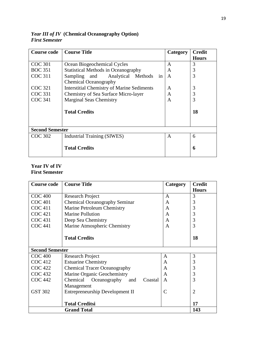| <b>Course code</b>     | <b>Course Title</b>                               | Category | Credit       |
|------------------------|---------------------------------------------------|----------|--------------|
|                        |                                                   |          | <b>Hours</b> |
| <b>COC 301</b>         | Ocean Biogeochemical Cycles                       | A        | 3            |
| <b>BOC 351</b>         | <b>Statistical Methods in Oceanography</b>        | A        | 3            |
| <b>COC 311</b>         | Sampling and Analytical Methods in                | A        | 3            |
|                        | <b>Chemical Oceanography</b>                      |          |              |
| <b>COC 321</b>         | <b>Interstitial Chemistry of Marine Sediments</b> | A        | 3            |
| <b>COC 331</b>         | Chemistry of Sea Surface Micro-layer              | A        | 3            |
| <b>COC 341</b>         | <b>Marginal Seas Chemistry</b>                    | A        | 3            |
|                        |                                                   |          |              |
|                        | <b>Total Credits</b>                              |          | 18           |
|                        |                                                   |          |              |
|                        |                                                   |          |              |
| <b>Second Semester</b> |                                                   |          |              |
| <b>COC 302</b>         | Industrial Training (SIWES)                       | A        | 6            |
|                        |                                                   |          |              |
|                        | <b>Total Credits</b>                              |          | 6            |
|                        |                                                   |          |              |

# *Year III of IV* **(Chemical Oceanography Option)** *First Semester*

# **Year IV of IV First Semester**

| <b>Course code</b>     | <b>Course Title</b>                     | Category      | <b>Credit</b>  |
|------------------------|-----------------------------------------|---------------|----------------|
|                        |                                         |               | <b>Hours</b>   |
| <b>COC 400</b>         | Research Project                        | A             | 3              |
| <b>COC 401</b>         | <b>Chemical Oceanography Seminar</b>    | A             | 3              |
| <b>COC 411</b>         | Marine Petroleum Chemistry              | A             | 3              |
| <b>COC 421</b>         | Marine Pollution                        | A             | 3              |
| <b>COC 431</b>         | Deep Sea Chemistry                      | A             | 3              |
| <b>COC 441</b>         | Marine Atmospheric Chemistry            | A             | 3              |
|                        |                                         |               |                |
|                        | <b>Total Credits</b>                    |               | 18             |
|                        |                                         |               |                |
| <b>Second Semester</b> |                                         |               |                |
| <b>COC 400</b>         | <b>Research Project</b>                 | A             | 3              |
| <b>COC 412</b>         | <b>Estuarine Chemistry</b>              | A             | 3              |
| <b>COC 422</b>         | <b>Chemical Tracer Oceanography</b>     | A             | 3              |
| <b>COC 432</b>         | Marine Organic Geochemistry             | A             | 3              |
| <b>COC 442</b>         | Chemical Oceanography<br>Coastal<br>and | A             | 3              |
|                        | Management                              |               |                |
| <b>GST 302</b>         | Entrepreneurship Development II         | $\mathcal{C}$ | $\overline{2}$ |
|                        |                                         |               |                |
|                        | <b>Total Creditsi</b>                   |               | 17             |
|                        | <b>Grand Total</b>                      |               | 143            |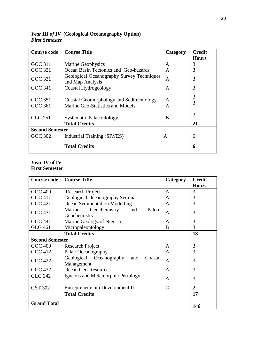| <b>Course code</b>     | <b>Course Title</b>                                                         | Category | <b>Credit</b> |  |  |
|------------------------|-----------------------------------------------------------------------------|----------|---------------|--|--|
|                        |                                                                             |          | <b>Hours</b>  |  |  |
| GOC 311                | Marine Geophysics                                                           | A        | 3             |  |  |
| GOC 321                | Ocean Basin Tectonics and Geo-hazards                                       | A        | 3             |  |  |
| GOC 331                | Geological Oceanography Survey Techniques<br>and Map Analysis               | A        | 3             |  |  |
| GOC 341                | Coastal Hydrogeology                                                        | A        | 3             |  |  |
| GOC 351<br>GOC 361     | Coastal Geomorphology and Sedimentology<br>Marine Geo-Statistics and Models | A<br>A   | 3<br>3        |  |  |
| <b>GLG 251</b>         | <b>Systematic Palaeontology</b><br><b>Total Credits</b>                     | B        | 3<br>21       |  |  |
| <b>Second Semester</b> |                                                                             |          |               |  |  |
| GOC 302                | <b>Industrial Training (SIWES)</b>                                          | A        | 6             |  |  |
|                        | <b>Total Credits</b>                                                        |          | 6             |  |  |

*Year III of IV* **(Geological Oceanography Option)** *First Semester*

# **Year IV of IV First Semester**

| <b>Course code</b>     | <b>Course Title</b>                                     | Category | <b>Credit</b>               |  |
|------------------------|---------------------------------------------------------|----------|-----------------------------|--|
|                        |                                                         |          | <b>Hours</b>                |  |
| <b>GOC 400</b>         | Research Project                                        | A        | 3                           |  |
| GOC 411                | Geological Oceanography Seminar                         | A        | 3                           |  |
| <b>GOC 421</b>         | Ocean Sedimentation Modelling                           | A        | 3                           |  |
| <b>GOC 431</b>         | Marine<br>Geochemistry<br>and<br>Paleo-<br>Geochemistry | A        | 3                           |  |
| <b>GOC 441</b>         | Marine Geology of Nigeria                               | A        | 3                           |  |
| <b>GLG 461</b>         | Micropaleontology                                       | B        | 3                           |  |
|                        | <b>Total Credits</b>                                    |          |                             |  |
| <b>Second Semester</b> |                                                         |          |                             |  |
| GOC 400                | <b>Research Project</b>                                 | A        | 3                           |  |
| <b>GOC 412</b>         | Palae-Oceanography                                      | A        | 3                           |  |
| <b>GOC 422</b>         | Geological Oceanography<br>Coastal<br>and<br>Management | A        | 3                           |  |
| GOC 432                | <b>Ocean Geo-Resources</b>                              | A        | 3                           |  |
| <b>GLG 242</b>         | Igneous and Metamorphic Petrology                       | A        | 3                           |  |
| <b>GST 302</b>         | Entrepreneurship Development II                         |          | $\mathcal{D}_{\mathcal{L}}$ |  |
|                        | <b>Total Credits</b>                                    |          | 17                          |  |
| <b>Grand Total</b>     |                                                         |          | 146                         |  |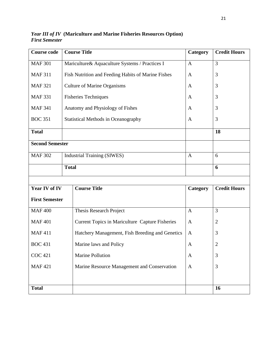| <b>Course code</b>     | <b>Course Title</b>                                | Category     | <b>Credit Hours</b> |
|------------------------|----------------------------------------------------|--------------|---------------------|
| <b>MAF 301</b>         | Mariculture & Aquaculture Systems / Practices I    | $\mathbf{A}$ | $\overline{3}$      |
| <b>MAF 311</b>         | Fish Nutrition and Feeding Habits of Marine Fishes | $\mathbf{A}$ | 3                   |
| <b>MAF 321</b>         | <b>Culture of Marine Organisms</b>                 | $\mathbf{A}$ | 3                   |
| <b>MAF 331</b>         | <b>Fisheries Techniques</b>                        | $\mathbf{A}$ | 3                   |
| <b>MAF 341</b>         | Anatomy and Physiology of Fishes                   | $\mathbf{A}$ | 3                   |
| <b>BOC 351</b>         | <b>Statistical Methods in Oceanography</b>         | A            | 3                   |
| <b>Total</b>           |                                                    |              | 18                  |
| <b>Second Semester</b> |                                                    |              |                     |
| <b>MAF 302</b>         | <b>Industrial Training (SIWES)</b>                 |              | 6                   |
| <b>Total</b>           |                                                    |              | 6                   |
|                        |                                                    |              |                     |
| Year IV of IV          | <b>Course Title</b>                                | Category     | <b>Credit Hours</b> |
| <b>First Semester</b>  |                                                    |              |                     |
| <b>MAF400</b>          | Thesis Research Project                            | $\mathbf{A}$ | $\overline{3}$      |
| <b>MAF401</b>          | Current Topics in Mariculture Capture Fisheries    | $\mathbf{A}$ | $\overline{2}$      |
| <b>MAF411</b>          | Hatchery Management, Fish Breeding and Genetics    | A            | 3                   |
| <b>BOC 431</b>         | Marine laws and Policy                             | A            | $\mathbf{2}$        |
| <b>COC 421</b>         | <b>Marine Pollution</b>                            | $\mathbf{A}$ | 3                   |
| <b>MAF421</b>          | Marine Resource Management and Conservation        | $\mathbf{A}$ | 3                   |
|                        |                                                    |              |                     |
| <b>Total</b>           |                                                    |              | <b>16</b>           |

*Year III of IV* **(Mariculture and Marine Fisheries Resources Option)** *First Semester*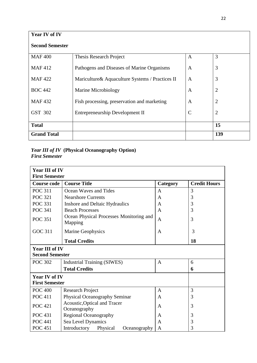| <b>Year IV of IV</b>   |                                                  |                |                |
|------------------------|--------------------------------------------------|----------------|----------------|
| <b>Second Semester</b> |                                                  |                |                |
| <b>MAF400</b>          | Thesis Research Project                          | $\overline{A}$ | 3              |
| <b>MAF412</b>          | Pathogens and Diseases of Marine Organisms       | A              | 3              |
| <b>MAF422</b>          | Mariculture & Aquaculture Systems / Practices II | A              | 3              |
| <b>BOC 442</b>         | Marine Microbiology                              | A              | $\overline{2}$ |
| <b>MAF432</b>          | Fish processing, preservation and marketing      | A              | $\overline{2}$ |
| GST 302                | Entrepreneurship Development II                  | $\mathsf{C}$   | $\overline{2}$ |
| <b>Total</b>           |                                                  |                | 15             |
| <b>Grand Total</b>     |                                                  |                | 139            |

# *Year III of IV* **(Physical Oceanography Option)** *First Semester*

| <b>Year III of IV</b><br><b>First Semester</b> |                                                    |              |                     |  |
|------------------------------------------------|----------------------------------------------------|--------------|---------------------|--|
| <b>Course code</b>                             | <b>Course Title</b>                                | Category     | <b>Credit Hours</b> |  |
| <b>POC 311</b>                                 | Ocean Waves and Tides                              | A            | 3                   |  |
| <b>POC 321</b>                                 | <b>Nearshore Currents</b>                          | A            | 3                   |  |
| <b>POC 331</b>                                 | Inshore and Deltaic Hydraulics                     | A            | 3                   |  |
| <b>POC 341</b>                                 | <b>Beach Processes</b>                             | A            | 3                   |  |
| <b>POC 351</b>                                 | Ocean Physical Processes Monitoring and<br>Mapping | $\mathbf{A}$ | 3                   |  |
| <b>GOC 311</b>                                 | Marine Geophysics                                  |              | 3                   |  |
| <b>Total Credits</b>                           |                                                    |              | 18                  |  |
| Year III of IV<br><b>Second Semester</b>       |                                                    |              |                     |  |
| <b>POC 302</b>                                 | <b>Industrial Training (SIWES)</b>                 | A            | 6                   |  |
|                                                | <b>Total Credits</b>                               |              | 6                   |  |
| <b>Year IV of IV</b><br><b>First Semester</b>  |                                                    |              |                     |  |
| <b>POC 400</b>                                 | <b>Research Project</b>                            | A            | 3                   |  |
| <b>POC 411</b>                                 | Physical Oceanography Seminar                      | A            | 3                   |  |
| <b>POC</b> 421                                 | Acoustic, Optical and Tracer<br>Oceanography       | A            | 3                   |  |
| <b>POC</b> 431                                 | Regional Oceanography                              | A            | 3                   |  |
| <b>POC 441</b>                                 | Sea Level Dynamics                                 | A            | 3                   |  |
| <b>POC 451</b>                                 | Introductory<br>Physical<br>Oceanography           | A            | 3                   |  |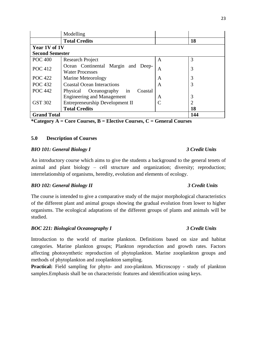|                        | Modelling                                                    |   |                |
|------------------------|--------------------------------------------------------------|---|----------------|
|                        | <b>Total Credits</b>                                         |   | 18             |
| Year 1V of 1V          |                                                              |   |                |
| <b>Second Semester</b> |                                                              |   |                |
| <b>POC 400</b>         | <b>Research Project</b>                                      | A | 3              |
| <b>POC</b> 412         | Ocean Continental Margin and Deep-<br><b>Water Processes</b> | A | 3              |
| <b>POC</b> 422         | Marine Meteorology                                           | A | 3              |
| <b>POC</b> 432         | <b>Coastal Ocean Interactions</b>                            | A | 3              |
| <b>POC</b> 442         | Physical<br>Oceanography<br>Coastal<br>in                    |   |                |
|                        | <b>Engineering and Management</b>                            | A | 3              |
| <b>GST 302</b>         | Entrepreneurship Development II                              |   | $\overline{2}$ |
|                        | <b>Total Credits</b>                                         |   | 18             |
| <b>Grand Total</b>     |                                                              |   | 144            |

**\*Category A = Core Courses, B = Elective Courses, C = General Courses**

### **5.0 Description of Courses**

### *BIO 101: General Biology I 3 Credit Units*

An introductory course which aims to give the students a background to the general tenets of animal and plant biology – cell structure and organization; diversity; reproduction; interrelationship of organisms, heredity, evolution and elements of ecology.

### *BIO 102: General Biology II 3 Credit Units*

The course is intended to give a comparative study of the major morphological characteristics of the different plant and animal groups showing the gradual evolution from lower to higher organisms. The ecological adaptations of the different groups of plants and animals will be studied.

### *BOC 221: Biological Oceanography I 3 Credit Units*

Introduction to the world of marine plankton. Definitions based on size and habitat categories. Marine plankton groups; Plankton reproduction and growth rates. Factors affecting photosynthetic reproduction of phytoplankton. Marine zooplankton groups and methods of phytoplankton and zooplankton sampling.

**Practical:** Field sampling for phyto- and zoo-plankton. Microscopy - study of plankton samples.Emphasis shall be on characteristic features and identification using keys.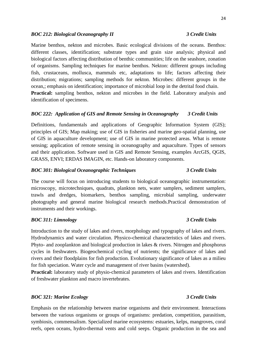### *BOC 212: Biological Oceanography II 3 Credit Units*

Marine benthos, nekton and microbes. Basic ecological divisions of the oceans. Benthos: different classes, identification; substrate types and grain size analysis; physical and biological factors affecting distribution of benthic communities; life on the seashore, zonation of organisms. Sampling techniques for marine benthos. Nekton: different groups including fish, crustaceans, mollusca, mammals etc, adaptations to life; factors affecting their distribution; migrations; sampling methods for nekton. Microbes: different groups in the ocean,; emphasis on identification; importance of microbial loop in the detrital food chain. **Practical:** sampling benthos, nekton and microbes in the field. Laboratory analysis and identification of specimens.

### *BOC 222: Application of GIS and Remote Sensing in Oceanography 3 Credit Units*

Definitions, fundamentals and applications of Geographic Information System (GIS); principles of GIS; Map making; use of GIS in fisheries and marine geo-spatial planning, use of GIS in aquaculture development; use of GIS in marine protected areas. What is remote sensing; application of remote sensing in oceanography and aquaculture. Types of sensors and their application. Software used in GIS and Remote Sensing, examples ArcGIS, QGIS, GRASS, ENVI; ERDAS IMAGIN, etc. Hands-on laboratory components.

### *BOC 301: Biological Oceanographic Techniques 3 Credit Units*

The course will focus on introducing students to biological oceanographic instrumentation: microscopy, microtechniques, quadrats, plankton nets, water samplers, sediment samplers, trawls and dredges, biomarkers, benthos sampling, microbial sampling, underwater photography and general marine biological research methods.Practical demonstration of instruments and their workings.

### *BOC 311: Limnology 3 Credit Units*

Introduction to the study of lakes and rivers, morphology and typography of lakes and rivers. Hydrodynamics and water circulation. Physico-chemical characteristics of lakes and rivers. Phyto- and zooplankton and biological production in lakes & rivers. Nitrogen and phosphorus cycles in freshwaters. Biogeochemical cycling of nutrients; the significance of lakes and rivers and their floodplains for fish production. Evolutionary significance of lakes as a milieu for fish speciation. Water cycle and management of river basins (watershed).

**Practical:** laboratory study of physio-chemical parameters of lakes and rivers. Identification of freshwater plankton and macro invertebrates.

### *BOC 321: Marine Ecology 3 Credit Units*

Emphasis on the relationship between marine organisms and their environment. Interactions between the various organisms or groups of organisms: predation, competition, parasitism, symbiosis, commensalism. Specialized marine ecosystems: estuaries, kelps, mangroves, coral reefs, open oceans, hydro-thermal vents and cold seeps. Organic production in the sea and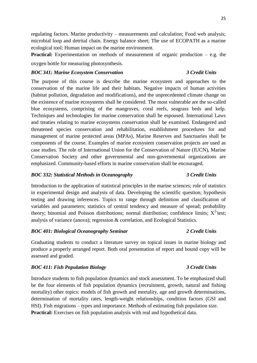regulating factors. Marine productivity – measurements and calculation; Food web analysis; microbial loop and detrital chain. Energy balance sheet; The use of ECOPATH as a marine ecological tool; Human impact on the marine environment.

**Practical:** Experimentation on methods of measurement of organic production – e.g. the oxygen bottle for measuring photosynthesis.

### *BOC 341: Marine Ecosystem Conservation 3 Credit Units*

The purpose of this course is describe the marine ecosystem and approaches to the conservation of the marine life and their habitats. Negative impacts of human activities (habitat pollution, degradation and modifications), and the unprecedented climate change on the existence of marine ecosystems shall be considered. The most vulnerable are the so-called blue ecosystems, comprising of the mangroves, coral reefs, seagrass beds and kelp. Techniques and technologies for marine conservation shall be espoused. International Laws and treaties relating to marine ecosystems conservation shall be examined. Endangered and threatened species conservation and rehabilitation, establishment procedures for and management of marine protected areas (MPAs), Marine Reserves and Sanctuaries shall be components of the course. Examples of marine ecosystem conservation projects are used as case studies. The role of International Union for the Conservation of Nature (IUCN), Marine Conservation Society and other governmental and non-governmental organizations are emphasized. Community-based efforts in marine conservation shall be encouraged.

# *BOC 332: Statistical Methods in Oceanography 3 Credit Units*

Introduction to the application of statistical principles in the marine sciences; role of statistics in experimental design and analysis of data. Developing the scientific question; hypothesis testing and drawing inferences. Topics to range through definition and classification of variables and parameters; statistics of central tendency and measure of spread; probability theory; binomial and Poisson distributions; normal distribution; confidence limits;  $X^2$  test; analysis of variance (anova); regression & correlation, and Ecological Statistics.

# *BOC 401: Biological Oceanography Seminar 2 Credit Units*

Graduating students to conduct a literature survey on topical issues in marine biology and produce a properly arranged report. Both oral presentation of report and bound copy will be assessed and graded.

# *BOC 411: Fish Population Biology 3 Credit Units*

Introduce students to fish population dynamics and stock assessment. To be emphasized shall be the four elements of fish population dynamics (recruitment, growth, natural and fishing mortality) other topics: models of fish growth and mortality, age and growth determinations, determination of mortality rates, length-weight relationships, condition factors (GSI and HSI). Fish migrations – types and importance. Methods of estimating fish population size. **Practical:** Exercises on fish population analysis with real and hypothetical data.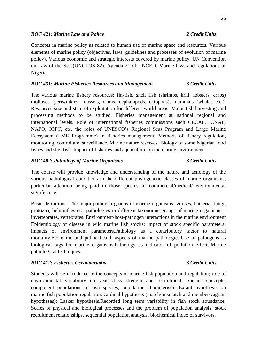### *BOC 421: Marine Law and Policy 2 Credit Units*

Concepts in marine policy as related to human use of marine space and resources. Various elements of marine policy (objectives, laws, guidelines and processes of evolution of marine policy). Various economic and strategic interests covered by marine policy. UN Convention on Law of the Sea (UNCLOS 82). Agenda 21 of UNCED. Marine laws and regulations of Nigeria.

### *BOC 431: Marine Fisheries Resources and Management 3 Credit Units*

The various marine fishery resources: fin-fish, shell fish (shrimps, krill, lobsters, crabs) molluscs (periwinkles, mussels, clams, cephalopods, octopods), mammals (whales etc.). Resources size and state of exploitation for different world areas. Major fish harvesting and processing methods to be studied. Fisheries management at national regional and international levels. Role of international fisheries commissions such CECAF, ICNAF, NAFO, IOFC, etc. the roles of UNESCO's Regional Seas Program and Large Marine Ecosystem (LME Programme) in fisheries management. Methods of fishery regulation, monitoring, control and surveillance. Marine nature reserves. Biology of some Nigerian food fishes and shellfish. Impact of fisheries and aquaculture on the marine environment.

### *BOC 402: Pathology of Marine Organisms 3 Credit Units*

The course will provide knowledge and understanding of the nature and aetiology of the various pathological conditions in the different phylogenetic classes of marine organisms, particular attention being paid to those species of commercial/medical/ environmental significance.

Basic definitions. The major pathogen groups in marine organisms: viruses, bacteria, fungi, protozoa, helminthes etc. pathologies in different taxonomic groups of marine organisms – invertebrates, vertebrates. Environment-host-pathogen interactions in the marine environment Epidemiology of disease in wild marine fish stocks; impact of stock specific parameters; impacts of environment parameters.Pathology as a contributory factor to natural mortality.Economic and public health aspects of marine pathologies.Use of pathogens as biological tags for marine organisms.Pathology as indicator of pollution effects.Marine pathological techniques.

### *BOC 412: Fisheries Oceanography 3 Credit Units*

Students will be introduced to the concepts of marine fish population and regulation; role of environmental variability on year class strength and recruitment. Species concepts; component populations of fish species; population characteristics.Extant hypothesis on marine fish population regulation; cardinal hypothesis (match/mismatch and member/vagrant hypotheses); Lasker hypothesis.Recorded long term variability in fish stock abundance. Scales of physical and biological processes and the problem of population analysis; stock recruitment relationships, sequential population analysis, biochemical index of survivors.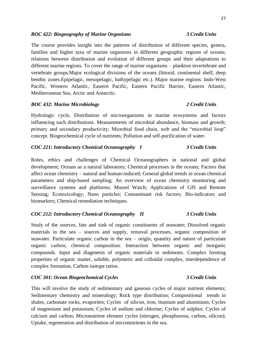### *BOC 422: Biogeography of Marine Organisms 3 Credit Units*

The course provides insight into the patterns of distribution of different species, genera, families and higher taxa of marine organisms in different geographic regions of oceans; relations between distribution and evolution of different groups and their adaptations to different marine regions. To cover the range of marine organisms – plankton invertebrate and vertebrate groups.Major ecological divisions of the oceans (littoral, continental shelf, deep benthic zones.Epipelagic, mesopelagic, bathypelagic etc.). Major marine regions: Indo-West Pacific, Western Atlantic, Eastern Pacific, Eastern Pacific Barrier, Eastern Atlantic, Mediterranean Sea, Arctic and Antarctic.

### *BOC 432: Marine Microbiology 2 Credit Units*

Hydrologic cycle, Distribution of microorganisms in marine ecosystems and factors influencing such distributions. Measurements of microbial abundance, biomass and growth; primary and secondary productivity; Microbial food chain, web and the "microbial loop" concept. Biogeochemical cycle of nutrients; Pollution and self-purification of water.

### *COC 221: Introductory Chemical Oceanography I 3 Credit Units*

Roles, ethics and challenges of Chemical Oceanographers in national and global development; Oceans as a natural laboratory; Chemical processes in the oceans; Factors that affect ocean chemistry – natural and human-induced; General global trends in ocean chemical parameters and ship-based sampling; An overview of ocean chemistry monitoring and surveillance systems and platforms; Mussel Watch; Applications of GIS and Remote Sensing; Ecotoxicology; Nano particles; Contaminant risk factors; Bio-indicators and biomarkers; Chemical remediation techniques.

### *COC 212: Introductory Chemical Oceanography II 3 Credit Units*

Study of the sources, fate and sink of organic constituents of seawater; Dissolved organic materials in the sea – sources and supply, removal processes, organic composition of seawater. Particulate organic carbon in the sea – origin, quantity and nature of particulate organic carbon; chemical composition. Interaction between organic and inorganic compounds. Input and diagenesis of organic materials in sediments. Complex forming properties of organic matter, soluble, polymeric and colloidal complex, interdependence of complex formation, Carbon isotope ratios.

### *COC 301: Ocean Biogeochemical Cycles 3 Credit Units*

This will involve the study of sedimentary and gaseous cycles of major nutrient elements; Sedimentary chemistry and mineralogy; Rock type distribution; Compositional trends in shales, carbonate rocks, evaporites; Cycles of silicon, iron, titanium and aluminium; Cycles of magnesium and potassium; Cycles of sodium and chlorine; Cycles of sulphur; Cycles of calcium and carbon; Micronutrient element cycles (nitrogen, phosphorous, carbon, silicon); Uptake, regeneration and distribution of micronutrients in the sea.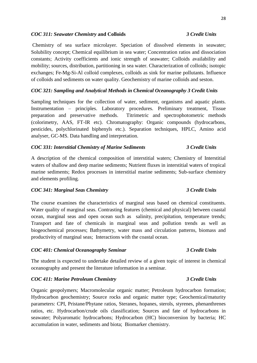### *COC 311: Seawater Chemistry* **and Colloids** *3 Credit Units*

Chemistry of sea surface microlayer. Speciation of dissolved elements in seawater; Solubility concept; Chemical equilibrium in sea water; Concentration ratios and dissociation constants; Activity coefficients and ionic strength of seawater; Colloids availability and mobility; sources, distribution, partitioning in sea water. Characterization of colloids; isotopic exchanges; Fe-Mg-Si-Al colloid complexes, colloids as sink for marine pollutants. Influence of colloids and sediments on water quality. Geochemistry of marine colloids and seston.

### *COC 321: Sampling and Analytical Methods in Chemical Oceanography 3 Credit Units*

Sampling techniques for the collection of water, sediment, organisms and aquatic plants. Instrumentation – principles. Laboratory procedures. Preliminary treatment, Tissue preparation and preservative methods. Titrimetric and spectrophotometric methods (colorimetry, AAS, FT-IR etc). Chromatography: Organic compounds (hydrocarbons, pesticides, polychlorinated biphenyls etc.). Separation techniques, HPLC, Amino acid analyser, GC-MS. Data handling and interpretation.

### *COC 331: Interstitial Chemistry of Marine Sediments 3 Credit Units*

A description of the chemical composition of interstitial waters; Chemistry of Interstitial waters of shallow and deep marine sediments; Nutrient fluxes in interstitial waters of tropical marine sediments; Redox processes in interstitial marine sediments; Sub-surface chemistry and elements profiling.

### *COC 341: Marginal Seas Chemistry 3 Credit Units*

The course examines the characteristics of marginal seas based on chemical constituents. Water quality of marginal seas. Contrasting features (chemical and physical) between coastal ocean, marginal seas and open ocean such as salinity, precipitation, temperature trends; Transport and fate of chemicals in marginal seas and pollution trends as well as biogeochemical processes; Bathymetry, water mass and circulation patterns, biomass and productivity of marginal seas; Interactions with the coastal ocean.

### *COC 401: Chemical Oceanography Seminar 3 Credit Units*

The student is expected to undertake detailed review of a given topic of interest in chemical oceanography and present the literature information in a seminar.

### *COC 411: Marine Petroleum Chemistry 3 Credit Units*

Organic geopolymers; Macromolecular organic matter; Petroleum hydrocarbon formation; Hydrocarbon geochemistry; Source rocks and organic matter type; Geochemical/maturity parameters: CPI, Pristane/Phytane ratios, Steranes, hopanes, sterols, styrenes, phenanthrenes ratios, etc. Hydrocarbon/crude oils classification; Sources and fate of hydrocarbons in seawater; Polyaromatic hydrocarbons; Hydrocarbon (HC) bioconversion by bacteria; HC accumulation in water, sediments and biota; Biomarker chemistry.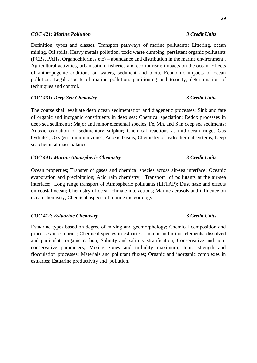### *COC 421: Marine Pollution 3 Credit Units*

Definition, types and classes. Transport pathways of marine pollutants: Littering, ocean mining, Oil spills, Heavy metals pollution, toxic waste dumping, persistent organic pollutants (PCBs, PAHs, Organochlorines etc) – abundance and distribution in the marine environment.. Agricultural activities, urbanisation, fisheries and eco-tourism: impacts on the ocean. Effects of anthropogenic additions on waters, sediment and biota. Economic impacts of ocean pollution. Legal aspects of marine pollution. partitioning and toxicity; determination of techniques and control.

### *COC 431: Deep Sea Chemistry 3 Credit Units*

The course shall evaluate deep ocean sedimentation and diagenetic processes; Sink and fate of organic and inorganic constituents in deep sea; Chemical speciation; Redox processes in deep sea sediments; Major and minor elemental species, Fe, Mn, and S in deep sea sediments; Anoxic oxidation of sedimentary sulphur; Chemical reactions at mid-ocean ridge; Gas hydrates; Oxygen minimum zones; Anoxic basins; Chemistry of hydrothermal systems; Deep sea chemical mass balance.

### *COC 441: Marine Atmospheric Chemistry 3 Credit Units*

Ocean properties; Transfer of gases and chemical species across air-sea interface; Oceanic evaporation and precipitation; Acid rain chemistry; Transport of pollutants at the air-sea interface; Long range transport of Atmospheric pollutants (LRTAP): Dust haze and effects on coastal ocean; Chemistry of ocean-climate interactions; Marine aerosols and influence on ocean chemistry; Chemical aspects of marine meteorology.

### *COC 412: Estuarine Chemistry 3 Credit Units*

Estuarine types based on degree of mixing and geomorphology; Chemical composition and processes in estuaries; Chemical species in estuaries – major and minor elements, dissolved and particulate organic carbon; Salinity and salinity stratification; Conservative and nonconservative parameters; Mixing zones and turbidity maximum; Ionic strength and flocculation processes; Materials and pollutant fluxes; Organic and inorganic complexes in estuaries; Estuarine productivity and pollution.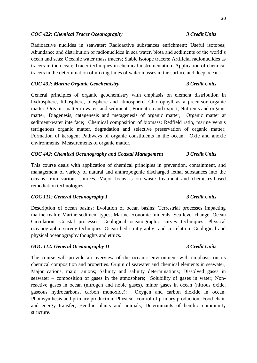### *COC 422: Chemical Tracer Oceanography 3 Credit Units*

Radioactive nuclides in seawater; Radioactive substances enrichment; Useful isotopes; Abundance and distribution of radionuclides in sea water, biota and sediments of the world's ocean and seas; Oceanic water mass tracers; Stable isotope tracers; Artificial radionuclides as tracers in the ocean; Tracer techniques in chemical instrumentation; Application of chemical tracers in the determination of mixing times of water masses in the surface and deep ocean.

### *COC 432: Marine Organic Geochemistry 3 Credit Units*

General principles of organic geochemistry with emphasis on element distribution in hydrosphere, lithosphere, biosphere and atmosphere; Chlorophyll as a precursor organic matter; Organic matter in water and sediments; Formation and export; Nutrients and organic matter; Diagenesis, catagenesis and metagenesis of organic matter; Organic matter at sediment-water interface; Chemical composition of biomass: Redfield ratio, marine versus terrigenous organic matter, degradation and selective preservation of organic matter; Formation of kerogen; Pathways of organic constituents in the ocean; Oxic and anoxic environments; Measurements of organic matter.

### *COC 442: Chemical Oceanography and Coastal Management 3 Credit Units*

This course deals with application of chemical principles in prevention, containment, and management of variety of natural and anthropogenic discharged lethal substances into the oceans from various sources. Major focus is on waste treatment and chemistry-based remediation technologies.

### *GOC 111: General Oceanography I 3 Credit Units*

Description of ocean basins; Evolution of ocean basins; Terrestrial processes impacting marine realm; Marine sediment types; Marine economic minerals; Sea level change; Ocean Circulation; Coastal processes; Geological oceanographic survey techniques; Physical oceanographic survey techniques; Ocean bed stratigraphy and correlation; Geological and physical oceanography thoughts and ethics.

### *GOC 112: General Oceanography II 3 Credit Units*

The course will provide an overview of the oceanic environment with emphasis on its chemical composition and properties. Origin of seawater and chemical elements in seawater; Major cations, major anions; Salinity and salinity determinations; Dissolved gases in seawater – composition of gases in the atmosphere; Solubility of gases in water; Nonreactive gases in ocean (nitrogen and noble gases), minor gases in ocean (nitrous oxide, gaseous hydrocarbons, carbon monoxide); Oxygen and carbon dioxide in ocean; Photosynthesis and primary production; Physical control of primary production; Food chain and energy transfer; Benthic plants and animals; Determinants of benthic community structure.

### 30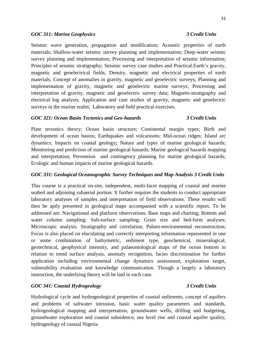### *GOC 311: Marine Geophysics 3 Credit Units*

Seismic wave generation, propagation and modification; Acoustic properties of earth materials; Shallow-water seismic survey planning and implementation; Deep-water seismic survey planning and implementation; Processing and interpretation of seismic information; Principles of seismic stratigraphy; Seismic survey case studies and Practical.Earth's gravity, magnetic and geoelectrical fields; Density, magnetic and electrical properties of earth materials; Concept of anomalies in gravity, magnetic and geoelectric surveys; Planning and implementation of gravity, magnetic and geoelectric marine surveys; Processing and interpretation of gravity, magnetic and geoelectric survey data; Magneto-stratigraphy and electrical log analysis; Application and case studies of gravity, magnetic and geoelectric surveys in the marine realm; Laboratory and field practical exercises.

### *GOC 321: Ocean Basin Tectonics and Geo-hazards 3 Credit Units*

Plate tectonics theory; Ocean basin structure; Continental margin types; Birth and development of ocean basins; Earthquakes and volcanisms; Mid-ocean ridges; Island arc dynamics; Impacts on coastal geology*;* Nature and types of marine geological hazards; Monitoring and prediction of marine geological hazards; Marine geological hazards mapping and interpretation; Prevention and contingency planning for marine geological hazards; Ecologic and human impacts of marine geological hazards.

### *GOC 331: Geological Oceanographic Survey Techniques and Map Analysis 3 Credit Units*

This course is a practical on-site, independent, multi-facet mapping of coastal and marine seabed and adjoining subaerial portion. It further requires the students to conduct appropriate laboratory analyses of samples and interpretation of field observations. These results will then be aptly presented in geological maps accompanied with a scientific report. To be addressed are: Navigational and platform observations; Base maps and charting; Bottom and water column sampling: Sub-surface sampling: Grain size and bed-form analyses: Microscopic analysis. Stratigraphy and correlation; Palaeo-environmental reconstruction; Focus is also placed on elucidating and correctly interpreting information represented in one or some combination of bathymetric, sediment type, geochemical, mineralogical, geotechnical, geophysical intensity, and palaeontological maps of the ocean bottom in relation to trend surface analysis, anomaly recognition, facies discrimination for further application including environmental change dynamics assessment, exploration target, vulnerability evaluation and knowledge communication. Though a largely a laboratory instruction, the underlying theory will be laid in each case.

# *GOC 341: Coastal Hydrogeology 3 Credit Units*

Hydrological cycle and hydrogeological properties of coastal sediments, concept of aquifers and problems of saltwater intrusion, basic water quality parameters and standards, hydrogeological mapping and interpretation, groundwater wells, drilling and budgeting, groundwater exploration and coastal subsidence, sea level rise and coastal aquifer quality, hydrogeology of coastal Nigeria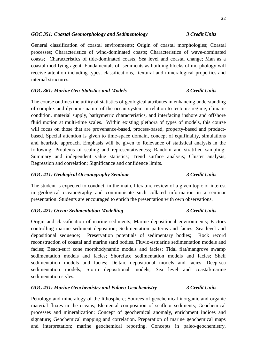### *GOC 351: Coastal Geomorphology and Sedimentology 3 Credit Units*

General classification of coastal environments; Origin of coastal morphologies; Coastal processes; Characteristics of wind-dominated coasts; Characteristics of wave-dominated coasts; Characteristics of tide-dominated coasts; Sea level and coastal change; Man as a coastal modifying agent; Fundamentals of sediments as building blocks of morphology will receive attention including types, classifications, textural and mineralogical properties and internal structures.

### *GOC 361: Marine Geo-Statistics and Models 3 Credit Units*

The course outlines the utility of statistics of geological attributes in enhancing understanding of complex and dynamic nature of the ocean system in relation to tectonic regime, climatic condition, material supply, bathymetric characteristics, and interfacing inshore and offshore fluid motion at multi-time scales. Within existing plethora of types of models, this course will focus on those that are provenance-based, process-based, property-based and productbased. Special attention is given to time-space domain, concept of equifinality, simulations and heuristic approach. Emphasis will be given to Relevance of statistical analysis in the following: Problems of scaling and representativeness; Random and stratified sampling; Summary and independent value statistics; Trend surface analysis; Cluster analysis; Regression and correlation; Significance and confidence limits.

### *GOC 411: Geological Oceanography Seminar 3 Credit Units*

The student is expected to conduct, in the main, literature review of a given topic of interest in geological oceanography and communicate such collated information in a seminar presentation. Students are encouraged to enrich the presentation with own observations.

### *GOC 421: Ocean Sedimentation Modelling 3 Credit Units*

Origin and classification of marine sediments; Marine depositional environments; Factors controlling marine sediment deposition; Sedimentation patterns and facies; Sea level and depositional sequence; Preservation potentials of sedimentary bodies; Rock record reconstruction of coastal and marine sand bodies. Fluvio-estuarine sedimentation models and facies; Beach-surf zone morphodynamic models and facies; Tidal flat/mangrove swamp sedimentation models and facies; Shoreface sedimentation models and facies; Shelf sedimentation models and facies; Deltaic depositional models and facies; Deep-sea sedimentation models; Storm depositional models; Sea level and coastal/marine sedimentation styles.

### *GOC 431: Marine Geochemistry and Palaeo-Geochemistry 3 Credit Units*

Petrology and mineralogy of the lithosphere; Sources of geochemical inorganic and organic material fluxes in the oceans; Elemental composition of seafloor sediments; Geochemical processes and mineralization; Concept of geochemical anomaly, enrichment indices and signature; Geochemical mapping and correlation. Preparation of marine geochemical maps and interpretation; marine geochemical reporting. Concepts in paleo-geochemistry,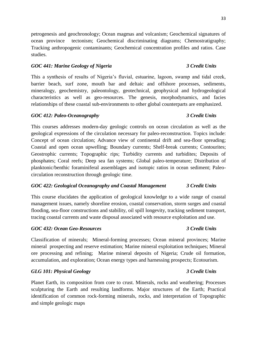petrogenesis and geochronology; Ocean magmas and volcanism; Geochemical signatures of ocean province tectonism; Geochemical discriminating diagrams; Chemostratigraphy; Tracking anthropogenic contaminants; Geochemical concentration profiles and ratios. Case studies.

# *GOC 441: Marine Geology of Nigeria 3 Credit Units*

This a synthesis of results of Nigeria's fluvial, estuarine, lagoon, swamp and tidal creek, barrier beach, surf zone, mouth bar and deltaic and offshore processes, sediments, mineralogy, geochemistry, paleontology, geotechnical, geophysical and hydrogeological characteristics as well as geo-resources. The genesis, morphodynamics, and facies relationships of these coastal sub-environments to other global counterparts are emphasized.

# *GOC 412: Paleo-Oceanography 3 Credit Units*

This courses addresses modern-day geologic controls on ocean circulation as well as the geological expressions of the circulation necessary for paleo-reconstruction. Topics include: Concept of ocean circulation; Advance view of continental drift and sea-floor spreading; Coastal and open ocean upwelling; Boundary currents; Shelf-break currents; Contourites; Geostrophic currents; Topographic rips; Turbidity currents and turbidites; Deposits of phosphates; Coral reefs; Deep sea fan systems; Global paleo-temperature; Distribution of planktonic/benthic foraminiferal assemblages and isotopic ratios in ocean sediment; Paleocirculation reconstruction through geologic time.

# *GOC 422: Geological Oceanography and Coastal Management 3 Credit Units*

This course elucidates the application of geological knowledge to a wide range of coastal management issues, namely shoreline erosion, coastal conservation, storm surges and coastal flooding, sea-floor constructions and stability, oil spill longevity, tracking sediment transport, tracing coastal currents and waste disposal associated with resource exploitation and use.

# *GOC 432: Ocean Geo-Resources 3 Credit Units*

Classification of minerals; Mineral-forming processes; Ocean mineral provinces; Marine mineral prospecting and reserve estimation; Marine mineral exploitation techniques; Mineral ore processing and refining; Marine mineral deposits of Nigeria; Crude oil formation, accumulation, and exploration; Ocean energy types and harnessing prospects; Ecotourism.

# *GLG 101: Physical Geology 3 Credit Units*

Planet Earth, its composition from core to crust. Minerals, rocks and weathering; Processes sculpturing the Earth and resulting landforms. Major structures of the Earth; Practical identification of common rock-forming minerals, rocks, and interpretation of Topographic and simple geologic maps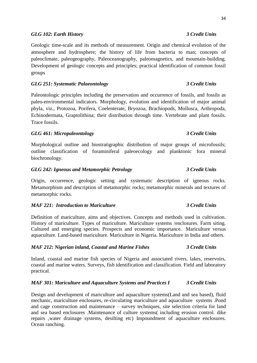### *GLG 102: Earth History 3 Credit Units*

Geologic time-scale and its methods of measurement. Origin and chemical evolution of the atmosphere and hydrosphere; the history of life from bacteria to man; concepts of paleoclimate, paleogeography, Paleoceanography, paleomagnetics, and mountain-building. Development of geologic concepts and principles; practical identification of common fossil groups

### *GLG 251: Systematic Palaeontology 3 Credit Units*

Paleontologic principles including the preservation and occurrence of fossils, and fossils as paleo-environmental indicators. Morphology, evolution and identification of major animal phyla, viz., Protozoa, Porifera, Coelenterate, Bryozoa, Brachiopods, Mollusca, Arthropoda, Echinodermata, Graptolithina; their distribution through time. Vertebrate and plant fossils. Trace fossils.

### *GLG 461: Micropaleontology 3 Credit Units*

Morphological outline and biostratigraphic distribution of major groups of microfossils; outline classification of foraminiferal paleoecology and planktonic fora mineral biochronology.

### *GLG 242: Igneous and Metamorphic Petrology 3 Credit Units*

Origin, occurrence, geologic setting and systematic description of igneous rocks. Metamorphism and description of metamorphic rocks; metamorphic minerals and textures of metamorphic rocks.

### *MAF 221: Introduction to Mariculture 3 Credit Units*

Definition of mariculture, aims and objectives. Concepts and methods used in cultivation. History of mariculture. Types of mariculture. Mariculture systems /enclosures. Farm siting. Cultured and emerging species. Prospects and economic importance. Mariculture versus aquaculture. Land-based mariculture. Mariculture in Nigeria. Mariculture in India and others.

### *MAF 212: Nigerian inland, Coastal and Marine Fishes 3 Credit Units*

Inland, coastal and marine fish species of Nigeria and associated rivers, lakes, reservoirs, coastal and marine waters. Surveys, fish identification and classification. Field and laboratory practical.

### *MAF 301: Mariculture and Aquaculture Systems and Practices I* 3 *Credit Units*

Design and development of mariculture and aquaculture systems(Land and sea based), fluid mechanic, mariculture enclosures, re-circulating mariculture and aquaculture systems .Pond and cage construction and maintenance – survey techniques, site selection criteria for land and sea based enclosures .Maintenance of culture systems( including erosion control. dike repairs ,water drainage systems, desilting etc) Impoundment of aquaculture enclosures. Ocean ranching.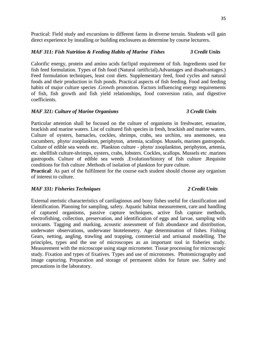Practical: Field study and excursions to different farms in diverse terrain. Students will gain direct experience by installing or building enclosures as determine by course lecturers.

### *MAF 311: Fish Nutrition & Feeding Habits of Marine Fishes 3 Credit Units*

Calorific energy, protein and amino acids fat/lipid requirement of fish. Ingredients used for fish feed formulation. Types of fish food (Natural /artificial).Advantages and disadvantages.) Feed formulation techniques, least cost diets. Supplementary feed, food cycles and natural foods and their production in fish ponds. Practical aspects of fish feeding. Food and feeding habits of major culture species .Growth promotion. Factors influencing energy requirements of fish, fish growth and fish yield relationships, food conversion ratio, and digestive coefficients.

### *MAF 321: Culture of Marine Organisms 3 Credit Units*

Particular attention shall be focused on the culture of organisms in freshwater, estuarine, brackish and marine waters. List of cultured fish species in fresh, brackish and marine waters. Culture of oysters, barnacles, cockles, shrimps, crabs, sea urchins, sea anemones, sea cucumbers, phyto/ zooplankton, periphyton, artemia, scallops. Mussels, marines gastropods. Culture of edible sea weeds etc. Plankton culture - phyto/ zooplankton, periphyton, artemia, etc. shellfish culture-shrimps, oysters, crabs, lobsters. Cockles, scallops. Mussels etc .marines gastropods. Culture of edible sea weeds .Evolution/history of fish culture .Requisite conditions for fish culture .Methods of isolation of plankton for pure culture.

**Practical:** As part of the fulfilment for the course each student should choose any organism of interest to culture.

# *MAF 331: Fisheries Techniques 2 Credit Units*

External meristic characteristics of cartilaginous and bony fishes useful for classification and identification. Planning for sampling, safety. Aquatic habitat measurement, care and handling of captured organisms, passive capture techniques, active fish capture methods, electrofishing, collection, preservation, and identification of eggs and larvae, sampling with toxicants. Tagging and marking, acoustic assessment of fish abundance and distribution, underwater observations, underwater biotelemetry. Age determination of fishes. Fishing Gears, netting, angling, trawling and trapping, commercial and artisanal modelling. The principles, types and the use of microscopes as an important tool in fisheries study. Measurement with the microscope using stage micrometer. Tissue processing for microscopic study. Fixation and types of fixatives. Types and use of microtomes. Photomicrography and image capturing. Preparation and storage of permanent slides for future use. Safety and precautions in the laboratory.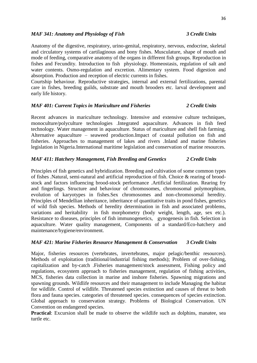### *MAF 341: Anatomy and Physiology of Fish 3 Credit Units*

Anatomy of the digestive, respiratory, urino-genital, respiratory, nervous, endocrine, skeletal and circulatory systems of cartilaginous and bony fishes. Musculature, shape of mouth and mode of feeding, comparative anatomy of the organs in different fish groups. Reproduction in fishes and Fecundity. Introduction to fish physiology. Homeostasis, regulation of salt and water contents. Osmo-regulation and excretion. Alimentary system. Food digestion and absorption. Production and reception of electric currents in fishes.

Courtship behaviour. Reproductive strategies, internal and external fertilizations, parental care in fishes, breeding guilds, substrate and mouth brooders etc. larval development and early life history.

### *MAF 401: Current Topics in Mariculture and Fisheries 2 Credit Units*

Recent advances in mariculture technology. Intensive and extensive culture techniques, monoculture/polyculture technologies .Integrated aquaculture. Advances in fish feed technology. Water management in aquaculture. Status of mariculture and shell fish farming. Alternative aquaculture – seaweed production.Impact of coastal pollution on fish and fisheries. Approaches to management of lakes and rivers .Inland and marine fisheries legislation in Nigeria.International maritime legislation and conservation of marine resources.

### *MAF 411: Hatchery Management, Fish Breeding and Genetics 2 Credit Units*

Principles of fish genetics and hybridization. Breeding and cultivation of some common types of fishes .Natural, semi-natural and artificial reproduction of fish. Choice & rearing of broodstock and factors influencing brood-stock performance .Artificial fertilization. Rearing fry and fingerlings. Structure and behaviour of chromosomes, chromosomal polymorphism, evolution of karyotypes in fishes.Sex chromosomes and non-chromosomal heredity. Principles of Mendellian inheritance, inheritance of quantitative traits in pond fishes, genetics of wild fish species. Methods of heredity determination in fish and associated problems, variations and heritability in fish morphometry (body weight, length, age, sex etc.). Resistance to diseases, principles of fish immunogenetics, gynogenesis in fish. Selection in aquaculture. Water quality management, Components of a standard/Eco-hatchery and maintenance/hygiene/environment.

### *MAF 421: Marine Fisheries Resource Management & Conservation 3 Credit Units*

Major, fisheries resources (vertebrates, invertebrates, major pelagic/benthic resources). Methods of exploitation (traditional/industrial fishing methods); Problem of over-fishing, capitalization and by-catch .Fisheries management/stock assessment, Fishing policy and regulations, ecosystem approach to fisheries management, regulation of fishing activities, MCS, fisheries data collection in marine and inshore fisheries. Spawning migrations and spawning grounds. Wildlife resources and their management to include Managing the habitat for wildlife. Control of wildlife. Threatened species extinction and causes of threat to both flora and fauna species. categories of threatened species. consequences of species extinction. Global approach to conservation strategy. Problems of Biological Conservation. UN Convention on endangered species.

**Practical**: Excursion shall be made to observe the wildlife such as dolphins, manatee, sea turtle etc.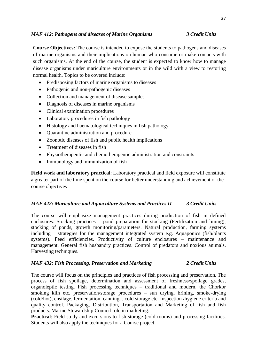### *MAF 412: Pathogens and diseases of Marine Organisms 3 Credit Units*

**Course Objectives:** The course is intended to expose the students to pathogens and diseases of marine organisms and their implications on human who consume or make contacts with such organisms. At the end of the course, the student is expected to know how to manage disease organisms under mariculture environments or in the wild with a view to restoring normal health. Topics to be covered include:

- Predisposing factors of marine organisms to diseases
- Pathogenic and non-pathogenic diseases
- Collection and management of disease samples
- Diagnosis of diseases in marine organisms
- Clinical examination procedures
- Laboratory procedures in fish pathology
- Histology and haematological techniques in fish pathology
- Quarantine administration and procedure
- Zoonotic diseases of fish and public health implications
- Treatment of diseases in fish
- Physiotherapeutic and chemotherapeutic administration and constraints
- Immunology and immunization of fish

**Field work and laboratory practical**: Laboratory practical and field exposure will constitute a greater part of the time spent on the course for better understanding and achievement of the course objectives

### *MAF 422: Mariculture and Aquaculture Systems and Practices II 3 Credit Units*

The course will emphasize management practices during production of fish in defined enclosures. Stocking practices – pond preparation for stocking (Fertilization and liming), stocking of ponds, growth monitoring/parameters. Natural production, farming systems including strategies for the management integrated system e.g. Aquaponics (fish/plants systems). Feed efficiencies. Productivity of culture enclosures – maintenance and management. General fish husbandry practices. Control of predators and noxious animals. Harvesting techniques.

### *MAF 432: Fish Processing, Preservation and Marketing 2 Credit Units*

The course will focus on the principles and practices of fish processing and preservation. The process of fish spoilage, determination and assessment of freshness/spoilage grades, organoleptic testing. Fish processing techniques – traditional and modern, the Chorkor smoking kiln etc. preservation/storage procedures – sun drying, brining, smoke-drying (cold/hot), ensilage, fermentation, canning, , cold storage etc. Inspection /hygiene criteria and quality control. Packaging, Distribution, Transportation and Marketing of fish and fish products. Marine Stewardship Council role in marketing.

**Practical:** Field study and excursions to fish storage (cold rooms) and processing facilities. Students will also apply the techniques for a Course project.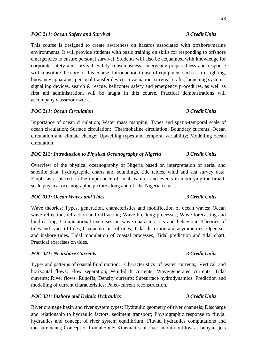# *POC 211: Ocean Safety and Survival 3 Credit Units*

This course is designed to create awareness on hazards associated with offshore/marine environments. It will provide students with basic training on skills for responding to offshore emergencies to ensure personal survival. Students will also be acquainted with knowledge for corporate safety and survival. Safety consciousness, emergency preparedness and response will constitute the core of this course. Introduction to use of equipment such as fire-fighting, buoyancy apparatus, personal transfer devices, evacuation, survival crafts, launching systems, signalling devices, search & rescue, helicopter safety and emergency procedures, as well as first aid administration, will be taught in this course. Practical demonstrations will accompany classroom work.

# *POC 211: Ocean Circulation 3 Credit Units*

Importance of ocean circulation; Water mass mapping; Types and spatio-temporal scale of ocean circulation; Surface circulation; Thermohaline circulation; Boundary currents; Ocean circulation and climate change; Upwelling types and temporal variability; Modelling ocean circulation.

# *POC 212: Introduction to Physical Oceanography of Nigeria 3 Credit Units*

Overview of the physical oceanography of Nigeria based on interpretation of aerial and satellite data, hydrographic charts and soundings, tide tables, wind and sea survey data. Emphasis is placed on the importance of local features and events in modifying the broadscale physical oceanographic picture along and off the Nigerian coast.

# *POC 311: Ocean Waves and Tides 3 Credit Units*

Wave theories; Types, generation, characteristics and modification of ocean waves; Ocean wave reflection, refraction and diffraction; Wave-breaking processes; Wave-forecasting and hind-casting. Computational exercises on wave characteristics and behaviour. Theories of tides and types of tides; Characteristics of tides; Tidal distortion and asymmetries; Open sea and inshore tides. Tidal modulation of coastal processes; Tidal prediction and tidal chart; Practical exercises on tides.

# *POC 321: Nearshore Currents 3 Credit Units*

Types and patterns of coastal fluid motion; Characteristics of water currents; Vertical and horizontal flows; Flow separation; Wind-drift currents; Wave-generated currents; Tidal currents; River flows; Runoffs; Density currents; Subsurface hydrodynamics; Prediction and modelling of current characteristics; Paleo-current reconstruction.

# *POC 331: Inshore and Deltaic Hydraulics 3 Credit Units*

River drainage basin and river system types; Hydraulic geometry of river channels; Discharge and relationship to hydraulic factors, sediment transport; Physiographic response to fluvial hydraulics and concept of river system equilibrium; Fluvial hydraulics computations and measurements; Concept of frontal zone; Kinematics of river mouth outflow as buoyant jets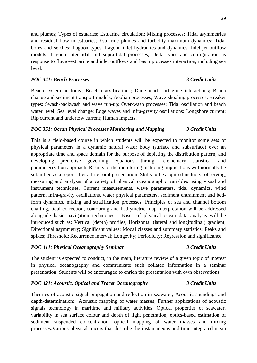and plumes; Types of estuaries; Estuarine circulation; Mixing processes; Tidal asymmetries and residual flow in estuaries; Estuarine plumes and turbidity maximum dynamics; Tidal bores and seiches; Lagoon types; Lagoon inlet hydraulics and dynamics; Inlet jet outflow models; Lagoon inter-tidal and supra-tidal processes; Delta types and configuration as response to fluvio-estuarine and inlet outflows and basin processes interaction, including sea level.

### *POC 341: Beach Processes 3 Credit Units*

Beach system anatomy; Beach classifications; Dune-beach-surf zone interactions; Beach change and sediment transport models; Aeolian processes; Wave-shoaling processes; Breaker types; Swash-backwash and wave run-up; Over-wash processes; Tidal oscillation and beach water level; Sea level change; Edge waves and infra-gravity oscillations; Longshore current; Rip current and undertow current; Human impacts.

### *POC 351: Ocean Physical Processes Monitoring and Mapping 3 Credit Units*

This is a field-based course in which students will be expected to monitor some sets of physical parameters in a dynamic natural water body (surface and subsurface) over an appropriate time and space domain for the purpose of depicting the distribution pattern, and developing predictive governing equations through elementary statistical parameterization approach. Results of the monitoring including implications will normally be submitted as a report after a brief oral presentation. Skills to be acquired include: observing, measuring and analysis of a variety of physical oceanographic variables using visual and instrument techniques. Current measurements, wave parameters, tidal dynamics, wind pattern, infra-gravity oscillations, water physical parameters, sediment entrainment and bedform dynamics, mixing and stratification processes. Principles of sea and channel bottom charting, tidal correction, contouring and bathymetric map interpretation will be addressed alongside basic navigation techniques. Bases of physical ocean data analysis will be introduced such as: Vertical (depth) profiles; Horizontal (lateral and longitudinal) gradient; Directional asymmetry; Significant values; Modal classes and summary statistics; Peaks and spikes; Threshold; Recurrence interval; Longevity; Periodicity; Regression and significance.

### *POC 411: Physical Oceanography Seminar 3 Credit Units*

The student is expected to conduct, in the main, literature review of a given topic of interest in physical oceanography and communicate such collated information in a seminar presentation. Students will be encouraged to enrich the presentation with own observations.

### *POC 421: Acoustic, Optical and Tracer Oceanography 3 Credit Units*

Theories of acoustic signal propagation and reflection in seawater; Acoustic soundings and depth-determination; Acoustic mapping of water masses; Further applications of acoustic signals technology in maritime and military activities. Optical properties of seawater, variability in sea surface colour and depth of light penetration, optics-based estimation of sediment suspended concentration, optical mapping of water masses and mixing processes.Various physical tracers that describe the instantaneous and time-integrated mean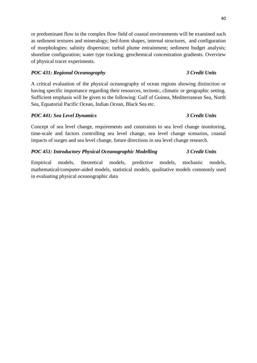or predominant flow in the complex flow field of coastal environments will be examined such as sediment textures and mineralogy; bed-form shapes, internal structures, and configuration of morphologies; salinity dispersion; turbid plume entrainment; sediment budget analysis; shoreline configuration; water type tracking; geochemical concentration gradients. Overview of physical tracer experiments.

# *POC 431: Regional Oceanography 3 Credit Units*

A critical evaluation of the physical oceanography of ocean regions showing distinction or having specific importance regarding their resources, tectonic, climatic or geographic setting. Sufficient emphasis will be given to the following: Gulf of Guinea, Mediterranean Sea, North Sea, Equatorial Pacific Ocean, Indian Ocean, Black Sea etc.

# *POC 441: Sea Level Dynamics 3 Credit Units*

Concept of sea level change, requirements and constraints to sea level change monitoring, time-scale and factors controlling sea level change, sea level change scenarios, coastal impacts of surges and sea level change, future directions in sea level change research.

# *POC 451: Introductory Physical Oceanographic Modelling 3 Credit Units*

Empirical models, theoretical models, predictive models, stochastic models, mathematical/computer-aided models, statistical models, qualitative models commonly used in evaluating physical oceanographic data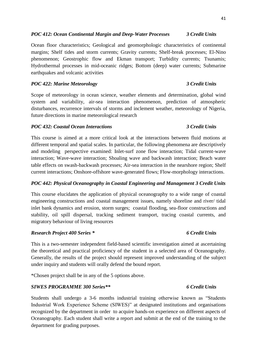### *POC 412: Ocean Continental Margin and Deep-Water Processes 3 Credit Units*

Ocean floor characteristics; Geological and geomorphologic characteristics of continental margins; Shelf tides and storm currents; Gravity currents; Shelf-break processes; El-Nino phenomenon; Geostrophic flow and Ekman transport; Turbidity currents; Tsunamis; Hydrothermal processes in mid-oceanic ridges; Bottom (deep) water currents; Submarine earthquakes and volcanic activities

# *POC 422: Marine Meteorology 3 Credit Units*

Scope of meteorology in ocean science, weather elements and determination, global wind system and variability, air-sea interaction phenomenon, prediction of atmospheric disturbances, recurrence intervals of storms and inclement weather, meteorology of Nigeria, future directions in marine meteorological research

### *POC 432: Coastal Ocean Interactions 3 Credit Units*

This course is aimed at a more critical look at the interactions between fluid motions at different temporal and spatial scales. In particular, the following phenomena are descriptively and modeling perspective examined: Inlet-surf zone flow interaction; Tidal current-wave interaction; Wave-wave interaction; Shoaling wave and backwash interaction; Beach water table effects on swash-backwash processes; Air-sea interaction in the nearshore region; Shelf current interactions; Onshore-offshore wave-generated flows; Flow-morphology interactions.

# *POC 442: Physical Oceanography in Coastal Engineering and Management 3 Credit Units*

This course elucidates the application of physical oceanography to a wide range of coastal engineering constructions and coastal management issues, namely shoreline and river/ tidal inlet bank dynamics and erosion, storm surges; coastal flooding, sea-floor constructions and stability, oil spill dispersal, tracking sediment transport, tracing coastal currents, and migratory behaviour of living resources

# *Research Project 400 Series \* 6 Credit Units*

This is a two-semester independent field-based scientific investigation aimed at ascertaining the theoretical and practical proficiency of the student in a selected area of Oceanography. Generally, the results of the project should represent improved understanding of the subject under inquiry and students will orally defend the bound report.

\*Chosen project shall be in any of the 5 options above.

# *SIWES PROGRAMME 300 Series\*\* 6 Credit Units*

Students shall undergo a 3-6 months industrial training otherwise known as "Students Industrial Work Experience Scheme (SIWES)" at designated institutions and organisations recognized by the department in order to acquire hands-on experience on different aspects of Oceanography. Each student shall write a report and submit at the end of the training to the department for grading purposes.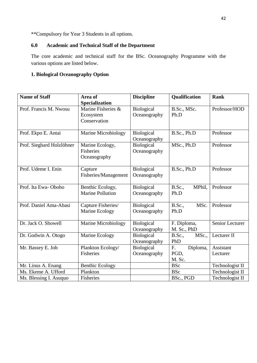\*\*Compulsory for Year 3 Students in all options.

# **6.0 Academic and Technical Staff of the Department**

The core academic and technical staff for the BSc. Oceanography Programme with the various options are listed below.

# **1. Biological Oceanography Option**

| <b>Name of Staff</b>      | Area of<br><b>Specialization</b>                    | <b>Discipline</b>          | Qualification                    | <b>Rank</b>           |
|---------------------------|-----------------------------------------------------|----------------------------|----------------------------------|-----------------------|
| Prof. Francis M. Nwosu    | Marine Fisheries &<br>Ecosystem<br>Conservation     | Biological<br>Oceanography | B.Sc., MSc.<br>Ph.D              | Professor/HOD         |
| Prof. Ekpo E. Antai       | Marine Microbiology                                 | Biological<br>Oceanography | B.Sc., Ph.D                      | Professor             |
| Prof. Sieghard Holzlöhner | Marine Ecology,<br><b>Fisheries</b><br>Oceanography | Biological<br>Oceanography | MSc., Ph.D                       | Professor             |
| Prof. Udeme I. Enin       | Capture<br>Fisheries/Management                     | Biological<br>Oceanography | B.Sc., Ph.D                      | Professor             |
| Prof. Ita Ewa-Oboho       | Benthic Ecology,<br><b>Marine Pollution</b>         | Biological<br>Oceanography | <b>B.Sc.</b> ,<br>MPhil,<br>Ph.D | Professor             |
| Prof. Daniel Ama-Abasi    | Capture Fisheries/<br>Marine Ecology                | Biological<br>Oceanography | <b>B.Sc.,</b><br>MSc.<br>Ph.D    | Professor             |
| Dr. Jack O. Showell       | Marine Microbiology                                 | Biological<br>Oceanography | F. Diploma,<br>M. Sc., PhD       | Senior Lecturer       |
| Dr. Godwin A. Otogo       | Marine Ecology                                      | Biological<br>Oceanography | MSc.,<br><b>B.Sc.,</b><br>PhD    | Lecturer II           |
| Mr. Bassey E. Job         | Plankton Ecology/<br>Fisheries                      | Biological<br>Oceanography | F.<br>Diploma,<br>PGD.<br>M. Sc. | Assistant<br>Lecturer |
| Mr. Linus A. Enang        | <b>Benthic Ecology</b>                              |                            | <b>BSc</b>                       | Technologist II       |
| Ms. Ekeme A. Ufford       | Plankton                                            |                            | <b>BSc</b>                       | Technologist II       |
| Ms. Blessing I. Asuquo    | Fisheries                                           |                            | BSc., PGD                        | Technologist II       |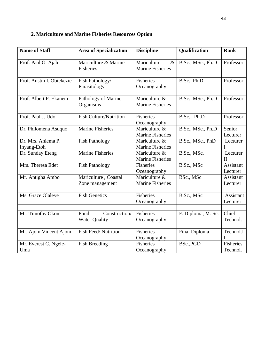# **2. Mariculture and Marine Fisheries Resources Option**

| <b>Name of Staff</b>              | <b>Area of Specialization</b>                 | <b>Discipline</b>                              | Qualification      | <b>Rank</b>              |
|-----------------------------------|-----------------------------------------------|------------------------------------------------|--------------------|--------------------------|
| Prof. Paul O. Ajah                | Mariculture & Marine<br>Fisheries             | Mariculture<br>$\&$<br><b>Marine Fisheries</b> | B.Sc., MSc., Ph.D  | Professor                |
| Prof. Austin I. Obiekezie         | Fish Pathology/<br>Parasitology               | Fisheries<br>Oceanography                      | B.Sc., Ph.D        | Professor                |
| Prof. Albert P. Ekanem            | Pathology of Marine<br>Organisms              | Mariculture &<br><b>Marine Fisheries</b>       | B.Sc., MSc., Ph.D  | Professor                |
| Prof. Paul J. Udo                 | <b>Fish Culture/Nutrition</b>                 | Fisheries<br>Oceanography                      | B.Sc., Ph.D        | Professor                |
| Dr. Philomena Asuquo              | <b>Marine Fisheries</b>                       | Mariculture &<br><b>Marine Fisheries</b>       | B.Sc., MSc., Ph.D  | Senior<br>Lecturer       |
| Dr. Mrs. Aniema P.<br>Inyang-Etoh | <b>Fish Pathology</b>                         | Mariculture &<br><b>Marine Fisheries</b>       | B.Sc., MSc., PhD   | Lecturer<br>I            |
| Dr. Sunday Eteng                  | <b>Marine Fisheries</b>                       | Mariculture &<br>Marine Fisheries              | B.Sc., MSc.        | Lecturer<br>$\mathbf{I}$ |
| Mrs. Theresa Edet                 | <b>Fish Pathology</b>                         | Fisheries<br>Oceanography                      | B.Sc., MSc         | Assistant<br>Lecturer    |
| Mr. Antigha Ambo                  | Mariculture, Coastal<br>Zone management       | Mariculture &<br><b>Marine Fisheries</b>       | BSc., MSc          | Assistant<br>Lecturer    |
| Ms. Grace Olaleye                 | <b>Fish Genetics</b>                          | Fisheries<br>Oceanography                      | B.Sc., MSc         | Assistant<br>Lecturer    |
| Mr. Timothy Okon                  | Construction/<br>Pond<br><b>Water Quality</b> | Fisheries<br>Oceanography                      | F. Diploma, M. Sc. | Chief<br>Technol.        |
| Mr. Ajom Vincent Ajom             | <b>Fish Feed/Nutrition</b>                    | <b>Fisheries</b><br>Oceanography               | Final Diploma      | Technol.I<br>T           |
| Mr. Everest C. Ngele-<br>Uma      | <b>Fish Breeding</b>                          | Fisheries<br>Oceanography                      | BSc., PGD          | Fisheries<br>Technol.    |